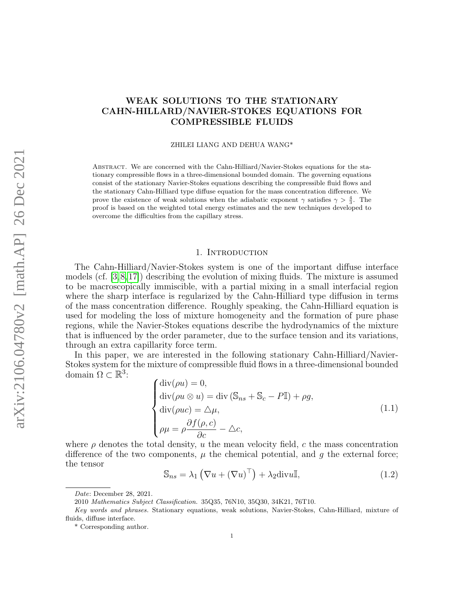# WEAK SOLUTIONS TO THE STATIONARY CAHN-HILLARD/NAVIER-STOKES EQUATIONS FOR COMPRESSIBLE FLUIDS

ZHILEI LIANG AND DEHUA WANG\*

Abstract. We are concerned with the Cahn-Hilliard/Navier-Stokes equations for the stationary compressible flows in a three-dimensional bounded domain. The governing equations consist of the stationary Navier-Stokes equations describing the compressible fluid flows and the stationary Cahn-Hilliard type diffuse equation for the mass concentration difference. We prove the existence of weak solutions when the adiabatic exponent  $\gamma$  satisfies  $\gamma > \frac{4}{3}$ . The proof is based on the weighted total energy estimates and the new techniques developed to overcome the difficulties from the capillary stress.

### 1. INTRODUCTION

The Cahn-Hilliard/Navier-Stokes system is one of the important diffuse interface models (cf. [\[3,](#page-20-0)[8,](#page-20-1)[17\]](#page-20-2)) describing the evolution of mixing fluids. The mixture is assumed to be macroscopically immiscible, with a partial mixing in a small interfacial region where the sharp interface is regularized by the Cahn-Hilliard type diffusion in terms of the mass concentration difference. Roughly speaking, the Cahn-Hilliard equation is used for modeling the loss of mixture homogeneity and the formation of pure phase regions, while the Navier-Stokes equations describe the hydrodynamics of the mixture that is influenced by the order parameter, due to the surface tension and its variations, through an extra capillarity force term.

In this paper, we are interested in the following stationary Cahn-Hilliard/Navier-Stokes system for the mixture of compressible fluid flows in a three-dimensional bounded domain  $\Omega \subset \mathbb{R}^3$ :

<span id="page-0-0"></span>
$$
\begin{cases}\n\text{div}(\rho u) = 0, \\
\text{div}(\rho u \otimes u) = \text{div} (\mathbb{S}_{ns} + \mathbb{S}_c - P\mathbb{I}) + \rho g, \\
\text{div}(\rho u c) = \Delta \mu, \\
\rho \mu = \rho \frac{\partial f(\rho, c)}{\partial c} - \Delta c,\n\end{cases}
$$
\n(1.1)

where  $\rho$  denotes the total density, u the mean velocity field, c the mass concentration difference of the two components,  $\mu$  the chemical potential, and g the external force; the tensor

$$
\mathbb{S}_{ns} = \lambda_1 \left( \nabla u + (\nabla u)^\top \right) + \lambda_2 \text{div} u \mathbb{I},\tag{1.2}
$$

Date: December 28, 2021.

<sup>2010</sup> Mathematics Subject Classification. 35Q35, 76N10, 35Q30, 34K21, 76T10.

Key words and phrases. Stationary equations, weak solutions, Navier-Stokes, Cahn-Hilliard, mixture of fluids, diffuse interface.

<sup>\*</sup> Corresponding author.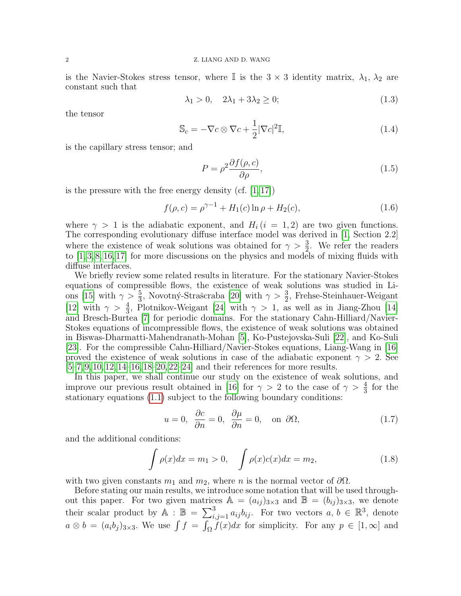is the Navier-Stokes stress tensor, where I is the  $3 \times 3$  identity matrix,  $\lambda_1$ ,  $\lambda_2$  are constant such that

<span id="page-1-4"></span>
$$
\lambda_1 > 0, \quad 2\lambda_1 + 3\lambda_2 \ge 0; \tag{1.3}
$$

the tensor

<span id="page-1-1"></span>
$$
\mathbb{S}_c = -\nabla c \otimes \nabla c + \frac{1}{2} |\nabla c|^2 \mathbb{I},\tag{1.4}
$$

is the capillary stress tensor; and

$$
P = \rho^2 \frac{\partial f(\rho, c)}{\partial \rho},\tag{1.5}
$$

is the pressure with the free energy density  $(cf. [1, 17])$  $(cf. [1, 17])$  $(cf. [1, 17])$  $(cf. [1, 17])$ 

<span id="page-1-3"></span>
$$
f(\rho, c) = \rho^{\gamma - 1} + H_1(c) \ln \rho + H_2(c), \tag{1.6}
$$

where  $\gamma > 1$  is the adiabatic exponent, and  $H_i$  (i = 1, 2) are two given functions. The corresponding evolutionary diffuse interface model was derived in [\[1,](#page-20-3) Section 2.2] where the existence of weak solutions was obtained for  $\gamma > \frac{3}{2}$ . We refer the readers to [\[1,](#page-20-3) [3,](#page-20-0) [8,](#page-20-1) [16,](#page-20-4) [17\]](#page-20-2) for more discussions on the physics and models of mixing fluids with diffuse interfaces.

We briefly review some related results in literature. For the stationary Navier-Stokes equations of compressible flows, the existence of weak solutions was studied in Li-ons [\[15\]](#page-20-5) with  $\gamma > \frac{5}{3}$ , Novotný-Strašcraba [\[20\]](#page-20-6) with  $\gamma > \frac{3}{2}$ , Frehse-Steinhauer-Weigant [\[12\]](#page-20-7) with  $\gamma > \frac{4}{3}$ , Plotnikov-Weigant [\[24\]](#page-21-0) with  $\gamma > 1$ , as well as in Jiang-Zhou [\[14\]](#page-20-8) and Bresch-Burtea [\[7\]](#page-20-9) for periodic domains. For the stationary Cahn-Hilliard/Navier-Stokes equations of incompressible flows, the existence of weak solutions was obtained in Biswas-Dharmatti-Mahendranath-Mohan [\[5\]](#page-20-10), Ko-Pustejovska-Suli [\[22\]](#page-21-1), and Ko-Suli [\[23\]](#page-21-2). For the compressible Cahn-Hilliard/Navier-Stokes equations, Liang-Wang in [\[16\]](#page-20-4) proved the existence of weak solutions in case of the adiabatic exponent  $\gamma > 2$ . See  $[5-7, 9, 10, 12, 14-16, 18-20, 22-24]$  $[5-7, 9, 10, 12, 14-16, 18-20, 22-24]$  $[5-7, 9, 10, 12, 14-16, 18-20, 22-24]$  $[5-7, 9, 10, 12, 14-16, 18-20, 22-24]$  $[5-7, 9, 10, 12, 14-16, 18-20, 22-24]$  $[5-7, 9, 10, 12, 14-16, 18-20, 22-24]$  $[5-7, 9, 10, 12, 14-16, 18-20, 22-24]$  $[5-7, 9, 10, 12, 14-16, 18-20, 22-24]$  $[5-7, 9, 10, 12, 14-16, 18-20, 22-24]$  $[5-7, 9, 10, 12, 14-16, 18-20, 22-24]$  $[5-7, 9, 10, 12, 14-16, 18-20, 22-24]$  and their references for more results.

In this paper, we shall continue our study on the existence of weak solutions, and improve our previous result obtained in [\[16\]](#page-20-4) for  $\gamma > 2$  to the case of  $\gamma > \frac{4}{3}$  for the stationary equations [\(1.1\)](#page-0-0) subject to the following boundary conditions:

<span id="page-1-2"></span>
$$
u = 0, \quad \frac{\partial c}{\partial n} = 0, \quad \frac{\partial \mu}{\partial n} = 0, \quad \text{on } \partial \Omega,
$$
 (1.7)

and the additional conditions:

<span id="page-1-0"></span>
$$
\int \rho(x)dx = m_1 > 0, \quad \int \rho(x)c(x)dx = m_2,
$$
\n(1.8)

with two given constants  $m_1$  and  $m_2$ , where n is the normal vector of  $\partial\Omega$ .

Before stating our main results, we introduce some notation that will be used throughout this paper. For two given matrices  $A = (a_{ij})_{3\times 3}$  and  $B = (b_{ij})_{3\times 3}$ , we denote their scalar product by  $\mathbb{A}$ :  $\mathbb{B} = \sum_{i,j=1}^{3} a_{ij} b_{ij}$ . For two vectors  $a, b \in \mathbb{R}^3$ , denote  $a \otimes b = (a_i b_j)_{3 \times 3}$ . We use  $\int f = \int_{\Omega} \tilde{f}(x) dx$  for simplicity. For any  $p \in [1, \infty]$  and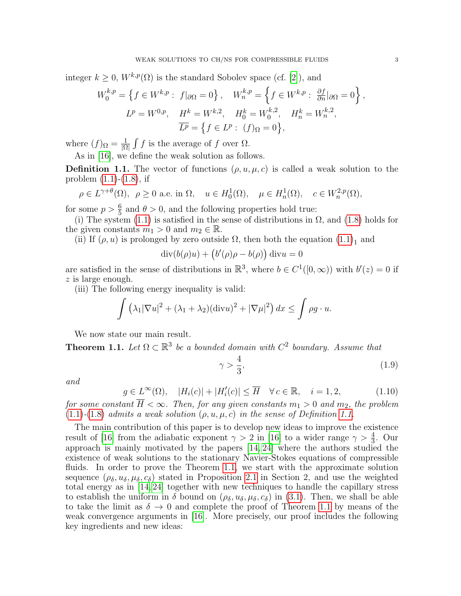integer  $k > 0$ ,  $W^{k,p}(\Omega)$  is the standard Sobolev space (cf. [\[2\]](#page-20-14)), and

$$
W_0^{k,p} = \left\{ f \in W^{k,p} : f|_{\partial\Omega} = 0 \right\}, \quad W_n^{k,p} = \left\{ f \in W^{k,p} : \frac{\partial f}{\partial n}|_{\partial\Omega} = 0 \right\},
$$
  

$$
L^p = W^{0,p}, \quad H^k = W^{k,2}, \quad H_0^k = W_0^{k,2}, \quad H_n^k = W_n^{k,2},
$$
  

$$
\overline{L^p} = \left\{ f \in L^p : (f)_{\Omega} = 0 \right\},
$$

where  $(f)_{\Omega} = \frac{1}{\Omega}$  $\frac{1}{|\Omega|} \int f$  is the average of f over  $\Omega$ .

As in [\[16\]](#page-20-4), we define the weak solution as follows.

<span id="page-2-0"></span>**Definition 1.1.** The vector of functions  $(\rho, u, \mu, c)$  is called a weak solution to the problem  $(1.1)$ - $(1.8)$ , if

$$
\rho \in L^{\gamma+\theta}(\Omega)
$$
,  $\rho \ge 0$  a.e. in  $\Omega$ ,  $u \in H_0^1(\Omega)$ ,  $\mu \in H_n^1(\Omega)$ ,  $c \in W_n^{2,p}(\Omega)$ ,

for some  $p > \frac{6}{5}$  and  $\theta > 0$ , and the following properties hold true:

(i) The system [\(1.1\)](#page-0-0) is satisfied in the sense of distributions in  $\Omega$ , and [\(1.8\)](#page-1-0) holds for the given constants  $m_1 > 0$  and  $m_2 \in \mathbb{R}$ .

(ii) If  $(\rho, u)$  is prolonged by zero outside  $\Omega$ , then both the equation  $(1.1)<sub>1</sub>$  $(1.1)<sub>1</sub>$  and

$$
\operatorname{div}(b(\rho)u) + (b'(\rho)\rho - b(\rho)) \operatorname{div} u = 0
$$

are satisfied in the sense of distributions in  $\mathbb{R}^3$ , where  $b \in C^1([0,\infty))$  with  $b'(z) = 0$  if z is large enough.

(iii) The following energy inequality is valid:

$$
\int (\lambda_1 |\nabla u|^2 + (\lambda_1 + \lambda_2)(\text{div}u)^2 + |\nabla \mu|^2) dx \le \int \rho g \cdot u.
$$

We now state our main result.

<span id="page-2-1"></span>**Theorem 1.1.** Let  $\Omega \subset \mathbb{R}^3$  be a bounded domain with  $C^2$  boundary. Assume that

$$
\gamma > \frac{4}{3},\tag{1.9}
$$

and

<span id="page-2-2"></span>
$$
g \in L^{\infty}(\Omega), \quad |H_i(c)| + |H'_i(c)| \le \overline{H} \quad \forall c \in \mathbb{R}, \quad i = 1, 2,
$$
\n(1.10)

for some constant  $\overline{H} < \infty$ . Then, for any given constants  $m_1 > 0$  and  $m_2$ , the problem  $(1.1)-(1.8)$  $(1.1)-(1.8)$  $(1.1)-(1.8)$  admits a weak solution  $(\rho, u, \mu, c)$  in the sense of Definition [1.1.](#page-2-0)

The main contribution of this paper is to develop new ideas to improve the existence result of [\[16\]](#page-20-4) from the adiabatic exponent  $\gamma > 2$  in [16] to a wider range  $\gamma > \frac{4}{3}$ . Our approach is mainly motivated by the papers [\[14,](#page-20-8) [24\]](#page-21-0) where the authors studied the existence of weak solutions to the stationary Navier-Stokes equations of compressible fluids. In order to prove the Theorem [1.1,](#page-2-1) we start with the approximate solution sequence  $(\rho_{\delta}, u_{\delta}, \mu_{\delta}, c_{\delta})$  stated in Proposition [2.1](#page-4-0) in Section 2, and use the weighted total energy as in [\[14,](#page-20-8) [24\]](#page-21-0) together with new techniques to handle the capillary stress to establish the uniform in  $\delta$  bound on  $(\rho_{\delta}, u_{\delta}, \mu_{\delta}, c_{\delta})$  in [\(3.1\)](#page-6-0). Then, we shall be able to take the limit as  $\delta \to 0$  and complete the proof of Theorem [1.1](#page-2-1) by means of the weak convergence arguments in [\[16\]](#page-20-4). More precisely, our proof includes the following key ingredients and new ideas: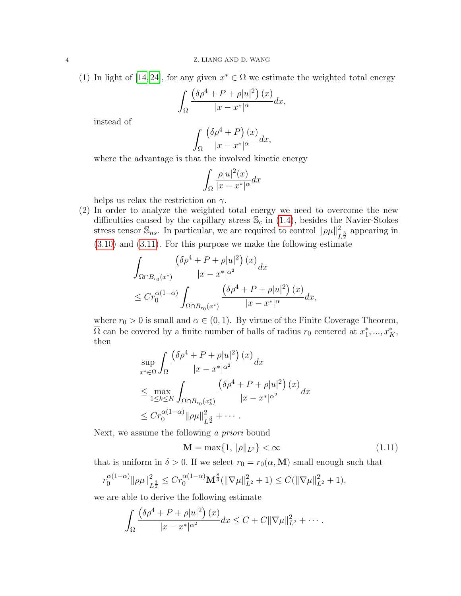(1) In light of [\[14,](#page-20-8) [24\]](#page-21-0), for any given  $x^* \in \overline{\Omega}$  we estimate the weighted total energy

$$
\int_{\Omega} \frac{\left(\delta \rho^4 + P + \rho |u|^2\right)(x)}{|x - x^*|^{\alpha}} dx,
$$

instead of

$$
\int_{\Omega} \frac{\left(\delta \rho^4 + P\right)(x)}{|x - x^*|^{\alpha}} dx,
$$

where the advantage is that the involved kinetic energy

$$
\int_{\Omega} \frac{\rho |u|^2(x)}{|x - x^*|^{\alpha}} dx
$$

helps us relax the restriction on  $\gamma$ .

(2) In order to analyze the weighted total energy we need to overcome the new difficulties caused by the capillary stress  $\mathcal{S}_c$  in [\(1.4\)](#page-1-1), besides the Navier-Stokes stress tensor  $\mathbb{S}_{ns}$ . In particular, we are required to control  $\|\rho\mu\|_{L}^{2}$  $\frac{2}{L^{\frac{3}{2}}}$  appearing in [\(3.10\)](#page-9-0) and [\(3.11\)](#page-9-1). For this purpose we make the following estimate

$$
\int_{\Omega \cap B_{r_0}(x^*)} \frac{\left(\delta \rho^4 + P + \rho |u|^2\right)(x)}{|x - x^*|^{\alpha^2}} dx
$$
\n
$$
\leq C r_0^{\alpha(1-\alpha)} \int_{\Omega \cap B_{r_0}(x^*)} \frac{\left(\delta \rho^4 + P + \rho |u|^2\right)(x)}{|x - x^*|^{\alpha}} dx,
$$

where  $r_0 > 0$  is small and  $\alpha \in (0, 1)$ . By virtue of the Finite Coverage Theorem,  $\overline{\Omega}$  can be covered by a finite number of balls of radius  $r_0$  centered at  $x_1^*,...,x_K^*$ , then

$$
\sup_{x^* \in \overline{\Omega}} \int_{\Omega} \frac{\left(\delta \rho^4 + P + \rho |u|^2\right)(x)}{|x - x^*|^{\alpha^2}} dx
$$
\n
$$
\leq \max_{1 \leq k \leq K} \int_{\Omega \cap B_{r_0}(x_k^*)} \frac{\left(\delta \rho^4 + P + \rho |u|^2\right)(x)}{|x - x^*|^{\alpha^2}} dx
$$
\n
$$
\leq C r_0^{\alpha(1-\alpha)} \|\rho \mu\|_{L^{\frac{3}{2}}}^2 + \cdots
$$

Next, we assume the following a priori bound

<span id="page-3-0"></span>
$$
\mathbf{M} = \max\{1, \|\rho\|_{L^2}\} < \infty \tag{1.11}
$$

that is uniform in  $\delta > 0$ . If we select  $r_0 = r_0(\alpha, M)$  small enough such that

$$
r_0^{\alpha(1-\alpha)} \|\rho\mu\|_{L^{\frac{3}{2}}}^2 \le Cr_0^{\alpha(1-\alpha)} \mathbf{M}^{\frac{8}{3}}(\|\nabla\mu\|_{L^2}^2 + 1) \le C(\|\nabla\mu\|_{L^2}^2 + 1),
$$

we are able to derive the following estimate

$$
\int_{\Omega} \frac{(\delta \rho^4 + P + \rho |u|^2) (x)}{|x - x^*|^{\alpha^2}} dx \leq C + C ||\nabla \mu||^2_{L^2} + \cdots
$$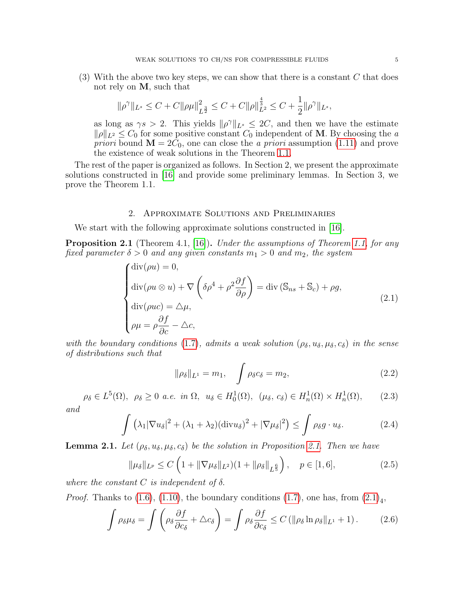$(3)$  With the above two key steps, we can show that there is a constant C that does not rely on M, such that

$$
\|\rho^{\gamma}\|_{L^{s}} \leq C + C \|\rho\mu\|_{L^{\frac{3}{2}}}^{2} \leq C + C \|\rho\|_{L^{2}}^{\frac{4}{3}} \leq C + \frac{1}{2} \|\rho^{\gamma}\|_{L^{s}},
$$

as long as  $\gamma s > 2$ . This yields  $\|\rho^{\gamma}\|_{L^s} \leq 2C$ , and then we have the estimate  $\|\rho\|_{L^2} \leq C_0$  for some positive constant  $C_0$  independent of M. By choosing the a *priori* bound  $\mathbf{M} = 2C_0$ , one can close the *a priori* assumption [\(1.11\)](#page-3-0) and prove the existence of weak solutions in the Theorem [1.1.](#page-2-1)

The rest of the paper is organized as follows. In Section 2, we present the approximate solutions constructed in [\[16\]](#page-20-4) and provide some preliminary lemmas. In Section 3, we prove the Theorem 1.1.

# 2. Approximate Solutions and Preliminaries

We start with the following approximate solutions constructed in [\[16\]](#page-20-4).

<span id="page-4-0"></span>Proposition 2.1 (Theorem 4.1, [\[16\]](#page-20-4)). Under the assumptions of Theorem [1.1,](#page-2-1) for any fixed parameter  $\delta > 0$  and any given constants  $m_1 > 0$  and  $m_2$ , the system

<span id="page-4-1"></span>
$$
\begin{cases}\n\text{div}(\rho u) = 0, \\
\text{div}(\rho u \otimes u) + \nabla \left( \delta \rho^4 + \rho^2 \frac{\partial f}{\partial \rho} \right) = \text{div} (\mathbb{S}_{ns} + \mathbb{S}_c) + \rho g, \\
\text{div}(\rho u c) = \Delta \mu, \\
\rho \mu = \rho \frac{\partial f}{\partial c} - \Delta c,\n\end{cases}
$$
\n(2.1)

with the boundary conditions [\(1.7\)](#page-1-2), admits a weak solution  $(\rho_{\delta}, u_{\delta}, \mu_{\delta}, c_{\delta})$  in the sense of distributions such that

<span id="page-4-3"></span>
$$
\|\rho_{\delta}\|_{L^{1}} = m_{1}, \quad \int \rho_{\delta} c_{\delta} = m_{2}, \tag{2.2}
$$

<span id="page-4-6"></span>
$$
\rho_{\delta} \in L^{5}(\Omega), \ \rho_{\delta} \ge 0 \ a.e. \ in \ \Omega, \ u_{\delta} \in H^{1}_{0}(\Omega), \ (\mu_{\delta}, c_{\delta}) \in H^{1}_{n}(\Omega) \times H^{1}_{n}(\Omega), \tag{2.3}
$$

and

$$
\int \left(\lambda_1 |\nabla u_\delta|^2 + (\lambda_1 + \lambda_2)(\text{div} u_\delta)^2 + |\nabla \mu_\delta|^2\right) \le \int \rho_\delta g \cdot u_\delta. \tag{2.4}
$$

<span id="page-4-5"></span>**Lemma [2.1.](#page-4-0)** Let  $(\rho_{\delta}, u_{\delta}, \mu_{\delta}, c_{\delta})$  be the solution in Proposition 2.1. Then we have

<span id="page-4-4"></span>
$$
\|\mu_{\delta}\|_{L^{p}} \le C\left(1 + \|\nabla\mu_{\delta}\|_{L^{2}}\right)(1 + \|\rho_{\delta}\|_{L^{\frac{6}{5}}}\right), \quad p \in [1, 6],
$$
\n(2.5)

where the constant C is independent of  $\delta$ .

<span id="page-4-7"></span>Z

*Proof.* Thanks to [\(1.6\)](#page-1-3), [\(1.10\)](#page-2-2), the boundary conditions [\(1.7\)](#page-1-2), one has, from  $(2.1)<sub>4</sub>$  $(2.1)<sub>4</sub>$ ,

<span id="page-4-2"></span>
$$
\int \rho_{\delta}\mu_{\delta} = \int \left(\rho_{\delta}\frac{\partial f}{\partial c_{\delta}} + \triangle c_{\delta}\right) = \int \rho_{\delta}\frac{\partial f}{\partial c_{\delta}} \leq C \left(\|\rho_{\delta}\ln\rho_{\delta}\|_{L^{1}} + 1\right). \tag{2.6}
$$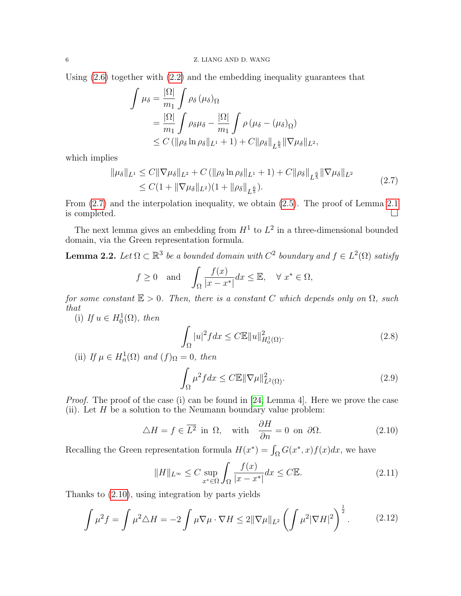Using [\(2.6\)](#page-4-2) together with [\(2.2\)](#page-4-3) and the embedding inequality guarantees that

$$
\int \mu_{\delta} = \frac{|\Omega|}{m_1} \int \rho_{\delta} (\mu_{\delta})_{\Omega}
$$
  
=  $\frac{|\Omega|}{m_1} \int \rho_{\delta} \mu_{\delta} - \frac{|\Omega|}{m_1} \int \rho (\mu_{\delta} - (\mu_{\delta})_{\Omega})$   
 $\leq C (\|\rho_{\delta} \ln \rho_{\delta}\|_{L^1} + 1) + C \|\rho_{\delta}\|_{L^{\frac{6}{5}}} \|\nabla \mu_{\delta}\|_{L^2},$ 

which implies

<span id="page-5-0"></span>
$$
\|\mu_{\delta}\|_{L^{1}} \leq C \|\nabla \mu_{\delta}\|_{L^{2}} + C \left( \|\rho_{\delta} \ln \rho_{\delta}\|_{L^{1}} + 1 \right) + C \|\rho_{\delta}\|_{L^{\frac{6}{5}}} \|\nabla \mu_{\delta}\|_{L^{2}} \leq C(1 + \|\nabla \mu_{\delta}\|_{L^{2}})(1 + \|\rho_{\delta}\|_{L^{\frac{6}{5}}}).
$$
\n(2.7)

From [\(2.7\)](#page-5-0) and the interpolation inequality, we obtain [\(2.5\)](#page-4-4). The proof of Lemma [2.1](#page-4-5)  $\Box$  is completed.  $\Box$ 

The next lemma gives an embedding from  $H^1$  to  $L^2$  in a three-dimensional bounded domain, via the Green representation formula.

<span id="page-5-5"></span>**Lemma 2.2.** Let  $\Omega \subset \mathbb{R}^3$  be a bounded domain with  $C^2$  boundary and  $f \in L^2(\Omega)$  satisfy

$$
f \ge 0
$$
 and  $\int_{\Omega} \frac{f(x)}{|x - x^*|} dx \le \mathbb{E}, \quad \forall x^* \in \Omega,$ 

for some constant  $\mathbb{E} > 0$ . Then, there is a constant C which depends only on  $\Omega$ , such that

(i) If  $u \in H_0^1(\Omega)$ , then

$$
\int_{\Omega} |u|^2 f dx \le C \mathbb{E} \|u\|_{H_0^1(\Omega)}^2.
$$
\n(2.8)

(ii) If  $\mu \in H_n^1(\Omega)$  and  $(f)_{\Omega} = 0$ , then

<span id="page-5-3"></span>
$$
\int_{\Omega} \mu^2 f dx \le C \mathbb{E} \|\nabla \mu\|_{L^2(\Omega)}^2.
$$
\n(2.9)

Proof. The proof of the case (i) can be found in [\[24,](#page-21-0) Lemma 4]. Here we prove the case (ii). Let  $H$  be a solution to the Neumann boundary value problem:

<span id="page-5-1"></span>
$$
\triangle H = f \in \overline{L^2} \text{ in } \Omega, \quad \text{with} \quad \frac{\partial H}{\partial n} = 0 \text{ on } \partial \Omega. \tag{2.10}
$$

Recalling the Green representation formula  $H(x^*) = \int_{\Omega} G(x^*, x) f(x) dx$ , we have

<span id="page-5-4"></span>
$$
||H||_{L^{\infty}} \leq C \sup_{x^* \in \Omega} \int_{\Omega} \frac{f(x)}{|x - x^*|} dx \leq C \mathbb{E}.
$$
 (2.11)

Thanks to [\(2.10\)](#page-5-1), using integration by parts yields

<span id="page-5-2"></span>
$$
\int \mu^2 f = \int \mu^2 \Delta H = -2 \int \mu \nabla \mu \cdot \nabla H \le 2 \|\nabla \mu\|_{L^2} \left( \int \mu^2 |\nabla H|^2 \right)^{\frac{1}{2}}.
$$
 (2.12)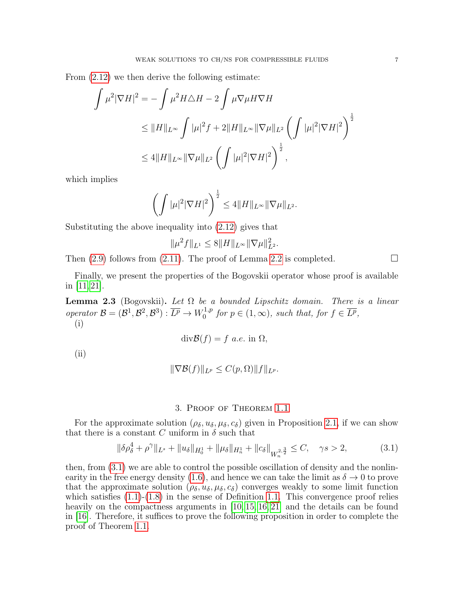From [\(2.12\)](#page-5-2) we then derive the following estimate:

$$
\int \mu^2 |\nabla H|^2 = -\int \mu^2 H \triangle H - 2 \int \mu \nabla \mu H \nabla H
$$
  
\n
$$
\leq \|H\|_{L^\infty} \int |\mu|^2 f + 2\|H\|_{L^\infty} \|\nabla \mu\|_{L^2} \left(\int |\mu|^2 |\nabla H|^2\right)^{\frac{1}{2}}
$$
  
\n
$$
\leq 4 \|H\|_{L^\infty} \|\nabla \mu\|_{L^2} \left(\int |\mu|^2 |\nabla H|^2\right)^{\frac{1}{2}},
$$

which implies

$$
\left(\int |\mu|^2 |\nabla H|^2\right)^{\frac{1}{2}} \leq 4||H||_{L^{\infty}} ||\nabla \mu||_{L^2}.
$$

Substituting the above inequality into [\(2.12\)](#page-5-2) gives that

$$
\|\mu^2 f\|_{L^1} \le 8\|H\|_{L^\infty} \|\nabla \mu\|_{L^2}^2.
$$

Then  $(2.9)$  follows from  $(2.11)$ . The proof of Lemma [2.2](#page-5-5) is completed.

Finally, we present the properties of the Bogovskii operator whose proof is available in  $[11, 21]$  $[11, 21]$ .

<span id="page-6-1"></span>**Lemma 2.3** (Bogovskii). Let  $\Omega$  be a bounded Lipschitz domain. There is a linear operator  $\mathcal{B} = (\mathcal{B}^1, \mathcal{B}^2, \mathcal{B}^3) : \overline{L^p} \to W_0^{1,p}$  $f_0^{1,p}$  for  $p \in (1,\infty)$ , such that, for  $f \in \overline{L^p}$ , (i)

$$
\operatorname{div} \mathcal{B}(f) = f \ a.e. \text{ in } \Omega,
$$

(ii)

$$
\|\nabla \mathcal{B}(f)\|_{L^p} \le C(p,\Omega) \|f\|_{L^p}.
$$

## 3. Proof of Theorem [1.1](#page-2-1)

For the approximate solution  $(\rho_{\delta}, u_{\delta}, \mu_{\delta}, c_{\delta})$  given in Proposition [2.1,](#page-4-0) if we can show that there is a constant C uniform in  $\delta$  such that

<span id="page-6-0"></span>
$$
\|\delta \rho_{\delta}^4 + \rho^{\gamma}\|_{L^s} + \|u_{\delta}\|_{H_0^1} + \|\mu_{\delta}\|_{H_n^1} + \|c_{\delta}\|_{W_n^{2, \frac{3}{2}}} \le C, \quad \gamma s > 2,
$$
\n(3.1)

then, from [\(3.1\)](#page-6-0) we are able to control the possible oscillation of density and the nonlin-earity in the free energy density [\(1.6\)](#page-1-3), and hence we can take the limit as  $\delta \to 0$  to prove that the approximate solution  $(\rho_{\delta}, u_{\delta}, \mu_{\delta}, c_{\delta})$  converges weakly to some limit function which satisfies  $(1.1)-(1.8)$  $(1.1)-(1.8)$  $(1.1)-(1.8)$  in the sense of Definition [1.1.](#page-2-0) This convergence proof relies heavily on the compactness arguments in [\[10,](#page-20-12) [15,](#page-20-5) [16,](#page-20-4) [21\]](#page-21-3) and the details can be found in [\[16\]](#page-20-4). Therefore, it suffices to prove the following proposition in order to complete the proof of Theorem [1.1.](#page-2-1)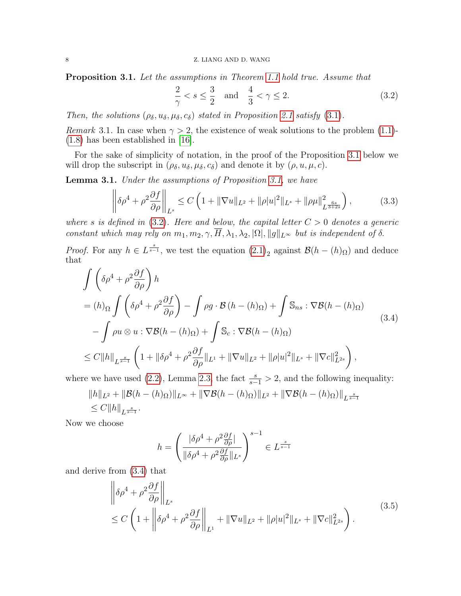<span id="page-7-0"></span>**Proposition 3.1.** Let the assumptions in Theorem [1.1](#page-2-1) hold true. Assume that

<span id="page-7-1"></span>
$$
\frac{2}{\gamma} < s \le \frac{3}{2} \quad \text{and} \quad \frac{4}{3} < \gamma \le 2. \tag{3.2}
$$

Then, the solutions  $(\rho_{\delta}, u_{\delta}, \mu_{\delta}, c_{\delta})$  stated in Proposition [2.1](#page-4-0) satisfy [\(3.1\)](#page-6-0).

Remark 3.1. In case when  $\gamma > 2$ , the existence of weak solutions to the problem [\(1.1\)](#page-0-0)-[\(1.8\)](#page-1-0) has been established in [\[16\]](#page-20-4).

For the sake of simplicity of notation, in the proof of the Proposition [3.1](#page-7-0) below we will drop the subscript in  $(\rho_{\delta}, u_{\delta}, \mu_{\delta}, c_{\delta})$  and denote it by  $(\rho, u, \mu, c)$ .

<span id="page-7-5"></span>Lemma 3.1. Under the assumptions of Proposition [3.1,](#page-7-0) we have

<span id="page-7-4"></span>
$$
\left\| \delta \rho^4 + \rho^2 \frac{\partial f}{\partial \rho} \right\|_{L^s} \le C \left( 1 + \|\nabla u\|_{L^2} + \|\rho |u|^2 \|_{L^s} + \|\rho \mu\|_{L^{\frac{6s}{3+2s}}}^2 \right),\tag{3.3}
$$

where s is defined in  $(3.2)$ . Here and below, the capital letter  $C > 0$  denotes a generic constant which may rely on  $m_1, m_2, \gamma, \overline{H}, \lambda_1, \lambda_2, |\Omega|, ||g||_{L^{\infty}}$  but is independent of  $\delta$ .

*Proof.* For any  $h \in L^{\frac{s}{s-1}}$ , we test the equation  $(2.1)_2$  $(2.1)_2$  against  $\mathcal{B}(h - (h)_{\Omega})$  and deduce that

<span id="page-7-2"></span>
$$
\int \left( \delta \rho^4 + \rho^2 \frac{\partial f}{\partial \rho} \right) h
$$
\n
$$
= (h)_{\Omega} \int \left( \delta \rho^4 + \rho^2 \frac{\partial f}{\partial \rho} \right) - \int \rho g \cdot \mathcal{B} \left( h - (h)_{\Omega} \right) + \int \mathbb{S}_{ns} : \nabla \mathcal{B} (h - (h)_{\Omega})
$$
\n
$$
- \int \rho u \otimes u : \nabla \mathcal{B} (h - (h)_{\Omega}) + \int \mathbb{S}_c : \nabla \mathcal{B} (h - (h)_{\Omega})
$$
\n
$$
\leq C \|h\|_{L^{\frac{s}{s-1}}} \left( 1 + \|\delta \rho^4 + \rho^2 \frac{\partial f}{\partial \rho} \|_{L^1} + \|\nabla u\|_{L^2} + \|\rho |u|^2 \|_{L^s} + \|\nabla c\|_{L^{2s}}^2 \right),
$$
\n
$$
= 1.233 \text{ J} \cdot \mathbb{S}_{3s} \cdot \mathbb{S}_{3s} \cdot \mathbb{S}_{3s} \cdot \mathbb{S}_{3s} \cdot \mathbb{S}_{3s} \cdot \mathbb{S}_{3s} \cdot \mathbb{S}_{3s} \cdot \mathbb{S}_{3s} \cdot \mathbb{S}_{3s} \cdot \mathbb{S}_{3s} \cdot \mathbb{S}_{3s} \cdot \mathbb{S}_{3s} \cdot \mathbb{S}_{3s} \cdot \mathbb{S}_{3s} \cdot \mathbb{S}_{3s} \cdot \mathbb{S}_{3s} \cdot \mathbb{S}_{3s} \cdot \mathbb{S}_{3s} \cdot \mathbb{S}_{3s} \cdot \mathbb{S}_{3s} \cdot \mathbb{S}_{3s} \cdot \mathbb{S}_{3s} \cdot \mathbb{S}_{3s} \cdot \mathbb{S}_{3s} \cdot \mathbb{S}_{3s} \cdot \mathbb{S}_{3s} \cdot \mathbb{S}_{3s} \cdot \mathbb{S}_{3s} \cdot \mathbb{S}_{3s} \cdot \mathbb{S}_{3s} \cdot \mathbb{S}_{3s} \cdot \mathbb{S}_{3s} \cdot \mathbb{S}_{3s} \cdot \mathbb{S}_{3s} \cdot \mathbb{S}_{3s} \cdot \mathbb{S}_{3s} \cdot \mathbb{S}_{3s} \cdot \mathbb{S}_{
$$

where we have used [\(2.2\)](#page-4-3), Lemma [2.3,](#page-6-1) the fact  $\frac{s}{s-1} > 2$ , and the following inequality:

$$
||h||_{L^{2}} + ||\mathcal{B}(h - (h)_{\Omega})||_{L^{\infty}} + ||\nabla \mathcal{B}(h - (h)_{\Omega})||_{L^{2}} + ||\nabla \mathcal{B}(h - (h)_{\Omega})||_{L^{\frac{s}{s-1}}} \n\leq C||h||_{L^{\frac{s}{s-1}}}.
$$

Now we choose

$$
h = \left(\frac{|\delta \rho^4 + \rho^2 \frac{\partial f}{\partial \rho}|}{\|\delta \rho^4 + \rho^2 \frac{\partial f}{\partial \rho}\|_{L^s}}\right)^{s-1} \in L^{\frac{s}{s-1}}
$$

<span id="page-7-3"></span>and derive from [\(3.4\)](#page-7-2) that

$$
\left\| \delta \rho^4 + \rho^2 \frac{\partial f}{\partial \rho} \right\|_{L^s}
$$
\n
$$
\leq C \left( 1 + \left\| \delta \rho^4 + \rho^2 \frac{\partial f}{\partial \rho} \right\|_{L^1} + \|\nabla u\|_{L^2} + \|\rho |u|^2 \|_{L^s} + \|\nabla c\|_{L^{2s}}^2 \right). \tag{3.5}
$$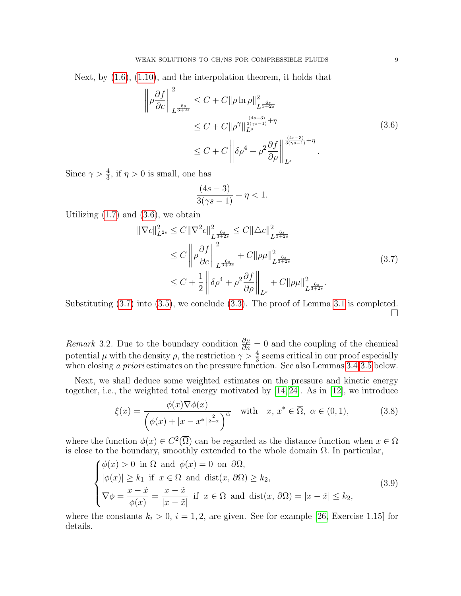Next, by [\(1.6\)](#page-1-3), [\(1.10\)](#page-2-2), and the interpolation theorem, it holds that

<span id="page-8-0"></span>
$$
\left\| \rho \frac{\partial f}{\partial c} \right\|_{L^{\frac{6s}{3+2s}}}^2 \le C + C \|\rho \ln \rho \|^2_{L^{\frac{6s}{3+2s}}} \n\le C + C \|\rho^{\gamma}\|_{L^s}^{\frac{(4s-3)}{(3(\gamma s-1)}+\eta} \n\le C + C \left\| \rho^4 + \rho^2 \frac{\partial f}{\partial \rho} \right\|_{L^s}^{\frac{(4s-3)}{(3(\gamma s-1)}+\eta}.
$$
\n(3.6)

Since  $\gamma > \frac{4}{3}$ , if  $\eta > 0$  is small, one has

$$
\frac{(4s-3)}{3(\gamma s - 1)} + \eta < 1.
$$

Utilizing  $(1.7)$  and  $(3.6)$ , we obtain

<span id="page-8-1"></span>
$$
\|\nabla c\|_{L^{2s}}^2 \le C \|\nabla^2 c\|_{L^{\frac{6s}{3+2s}}}^2 \le C \|\Delta c\|_{L^{\frac{6s}{3+2s}}}^2
$$
  
\n
$$
\le C \left\|\rho \frac{\partial f}{\partial c}\right\|_{L^{\frac{6s}{3+2s}}}^2 + C \|\rho\mu\|_{L^{\frac{6s}{3+2s}}}^2
$$
  
\n
$$
\le C + \frac{1}{2} \left\|\delta \rho^4 + \rho^2 \frac{\partial f}{\partial \rho}\right\|_{L^s} + C \|\rho\mu\|_{L^{\frac{6s}{3+2s}}}^2.
$$
\n(3.7)

Substituting  $(3.7)$  into  $(3.5)$ , we conclude  $(3.3)$ . The proof of Lemma [3.1](#page-7-5) is completed.  $\Box$ 

*Remark* 3.2. Due to the boundary condition  $\frac{\partial \mu}{\partial n} = 0$  and the coupling of the chemical potential  $\mu$  with the density  $\rho$ , the restriction  $\gamma > \frac{4}{3}$  seems critical in our proof especially when closing a priori estimates on the pressure function. See also Lemmas [3.4-](#page-17-0)[3.5](#page-18-0) below.

Next, we shall deduce some weighted estimates on the pressure and kinetic energy together, i.e., the weighted total energy motivated by [\[14,](#page-20-8) [24\]](#page-21-0). As in [\[12\]](#page-20-7), we introduce

<span id="page-8-3"></span>
$$
\xi(x) = \frac{\phi(x)\nabla\phi(x)}{\left(\phi(x) + |x - x^*|^{\frac{2}{2-\alpha}}\right)^{\alpha}} \quad \text{with} \quad x, x^* \in \overline{\Omega}, \ \alpha \in (0, 1), \tag{3.8}
$$

where the function  $\phi(x) \in C^2(\overline{\Omega})$  can be regarded as the distance function when  $x \in \Omega$ is close to the boundary, smoothly extended to the whole domain  $\Omega$ . In particular,

<span id="page-8-2"></span>
$$
\begin{cases}\n\phi(x) > 0 \text{ in } \Omega \text{ and } \phi(x) = 0 \text{ on } \partial\Omega, \\
|\phi(x)| \ge k_1 \text{ if } x \in \Omega \text{ and } \text{dist}(x, \partial\Omega) \ge k_2, \\
\nabla \phi = \frac{x - \tilde{x}}{\phi(x)} = \frac{x - \tilde{x}}{|x - \tilde{x}|} \text{ if } x \in \Omega \text{ and } \text{dist}(x, \partial\Omega) = |x - \tilde{x}| \le k_2,\n\end{cases}
$$
\n(3.9)

where the constants  $k_i > 0$ ,  $i = 1, 2$ , are given. See for example [\[26,](#page-21-4) Exercise 1.15] for details.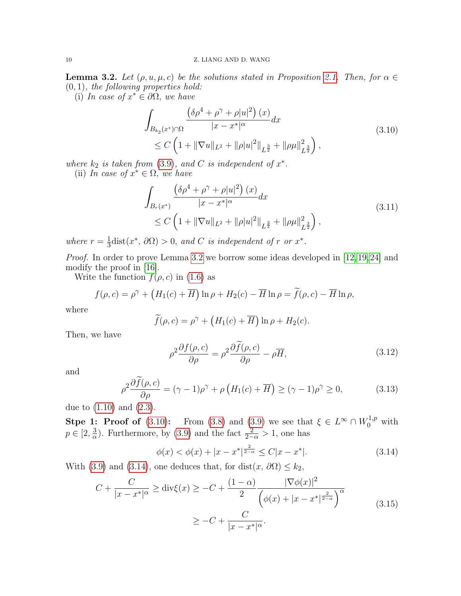<span id="page-9-2"></span>**Lemma 3.2.** Let  $(\rho, u, \mu, c)$  be the solutions stated in Proposition [2.1.](#page-4-0) Then, for  $\alpha \in$  $(0, 1)$ , the following properties hold:

(i) In case of  $x^* \in \partial \Omega$ , we have

<span id="page-9-0"></span>
$$
\int_{B_{k_2}(x^*)\cap\Omega} \frac{\left(\delta\rho^4 + \rho^\gamma + \rho|u|^2\right)(x)}{|x - x^*|^\alpha} dx
$$
\n
$$
\leq C \left(1 + \|\nabla u\|_{L^2} + \|\rho|u|^2\|_{L^{\frac{3}{2}}} + \|\rho\mu\|_{L^{\frac{3}{2}}}^2\right),
$$
\n(3.10)

where  $k_2$  is taken from [\(3.9\)](#page-8-2), and C is independent of  $x^*$ .

(ii) In case of  $x^* \in \Omega$ , we have

<span id="page-9-1"></span>
$$
\int_{B_r(x^*)} \frac{\left(\delta \rho^4 + \rho^\gamma + \rho |u|^2\right)(x)}{|x - x^*|^\alpha} dx
$$
\n
$$
\leq C \left(1 + \|\nabla u\|_{L^2} + \|\rho |u|^2\|_{L^{\frac{3}{2}}} + \|\rho \mu\|_{L^{\frac{3}{2}}}^2\right),
$$
\n(3.11)

where  $r=\frac{1}{3}$  $\frac{1}{3}$ dist $(x^*, \partial\Omega) > 0$ , and C is independent of r or  $x^*$ .

Proof. In order to prove Lemma [3.2](#page-9-2) we borrow some ideas developed in [\[12,](#page-20-7)[19,](#page-20-16)[24\]](#page-21-0) and modify the proof in [\[16\]](#page-20-4).

Write the function  $f(\rho, c)$  in [\(1.6\)](#page-1-3) as

$$
f(\rho, c) = \rho^{\gamma} + \left(H_1(c) + \overline{H}\right) \ln \rho + H_2(c) - \overline{H} \ln \rho = \widetilde{f}(\rho, c) - \overline{H} \ln \rho,
$$

where

$$
\widetilde{f}(\rho, c) = \rho^{\gamma} + \left(H_1(c) + \overline{H}\right) \ln \rho + H_2(c).
$$

Then, we have

<span id="page-9-4"></span>
$$
\rho^2 \frac{\partial f(\rho, c)}{\partial \rho} = \rho^2 \frac{\partial f(\rho, c)}{\partial \rho} - \rho \overline{H},\tag{3.12}
$$

and

<span id="page-9-6"></span>
$$
\rho^2 \frac{\partial \widetilde{f}(\rho, c)}{\partial \rho} = (\gamma - 1)\rho^{\gamma} + \rho \left( H_1(c) + \overline{H} \right) \ge (\gamma - 1)\rho^{\gamma} \ge 0, \tag{3.13}
$$

due to  $(1.10)$  and  $(2.3)$ .

**Stpe 1: Proof of** [\(3.10\)](#page-9-0): From [\(3.8\)](#page-8-3) and [\(3.9\)](#page-8-2) we see that  $\xi \in L^{\infty} \cap W_0^{1,p}$  with  $p \in [2, \frac{3}{\alpha}]$  $\frac{3}{\alpha}$ ). Furthermore, by [\(3.9\)](#page-8-2) and the fact  $\frac{2}{2-\alpha} > 1$ , one has

<span id="page-9-3"></span>
$$
\phi(x) < \phi(x) + |x - x^*|^{\frac{2}{2-\alpha}} \le C|x - x^*|.\tag{3.14}
$$

With [\(3.9\)](#page-8-2) and [\(3.14\)](#page-9-3), one deduces that, for dist $(x, \partial\Omega) \leq k_2$ ,

<span id="page-9-5"></span>
$$
C + \frac{C}{|x - x^*|^{\alpha}} \ge \text{div}\xi(x) \ge -C + \frac{(1 - \alpha)}{2} \frac{|\nabla \phi(x)|^2}{\left(\phi(x) + |x - x^*|^{\frac{2}{2 - \alpha}}\right)^{\alpha}} \ge -C + \frac{C}{|x - x^*|^{\alpha}}.
$$
\n(3.15)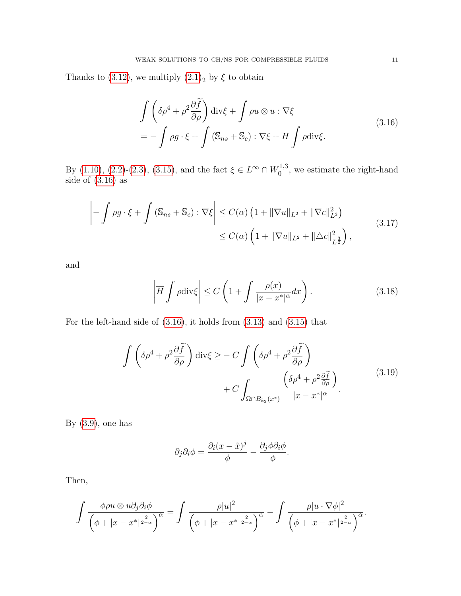Thanks to [\(3.12\)](#page-9-4), we multiply  $(2.1)<sub>2</sub>$  $(2.1)<sub>2</sub>$  by  $\xi$  to obtain

<span id="page-10-0"></span>
$$
\int \left( \delta \rho^4 + \rho^2 \frac{\partial \tilde{f}}{\partial \rho} \right) \operatorname{div} \xi + \int \rho u \otimes u : \nabla \xi
$$
\n
$$
= - \int \rho g \cdot \xi + \int \left( \mathbb{S}_{ns} + \mathbb{S}_c \right) : \nabla \xi + \overline{H} \int \rho \operatorname{div} \xi. \tag{3.16}
$$

By [\(1.10\)](#page-2-2), [\(2.2\)](#page-4-3)-[\(2.3\)](#page-4-6), [\(3.15\)](#page-9-5), and the fact  $\xi \in L^{\infty} \cap W_0^{1,3}$  $_{0}^{1,3}$ , we estimate the right-hand side of [\(3.16\)](#page-10-0) as

<span id="page-10-1"></span>
$$
\left| -\int \rho g \cdot \xi + \int \left( \mathbb{S}_{ns} + \mathbb{S}_c \right) : \nabla \xi \right| \le C(\alpha) \left( 1 + \|\nabla u\|_{L^2} + \|\nabla c\|_{L^3}^2 \right)
$$
\n
$$
\le C(\alpha) \left( 1 + \|\nabla u\|_{L^2} + \|\Delta c\|_{L^2}^2 \right),
$$
\n(3.17)

and

$$
\left| \overline{H} \int \rho \text{div}\xi \right| \le C \left( 1 + \int \frac{\rho(x)}{|x - x^*|^\alpha} dx \right). \tag{3.18}
$$

For the left-hand side of [\(3.16\)](#page-10-0), it holds from [\(3.13\)](#page-9-6) and [\(3.15\)](#page-9-5) that

$$
\int \left( \delta \rho^4 + \rho^2 \frac{\partial \widetilde{f}}{\partial \rho} \right) \operatorname{div} \xi \ge - C \int \left( \delta \rho^4 + \rho^2 \frac{\partial \widetilde{f}}{\partial \rho} \right) + C \int_{\Omega \cap B_{k_2}(x^*)} \frac{\left( \delta \rho^4 + \rho^2 \frac{\partial \widetilde{f}}{\partial \rho} \right)}{|x - x^*|^{\alpha}}.
$$
\n(3.19)

By  $(3.9)$ , one has

$$
\partial_j \partial_i \phi = \frac{\partial_i (x - \tilde{x})^j}{\phi} - \frac{\partial_j \phi \partial_i \phi}{\phi}.
$$

Then,

$$
\int \frac{\phi \rho u \otimes u \partial_j \partial_i \phi}{\left(\phi + |x - x^*|^{\frac{2}{2-\alpha}}\right)^\alpha} = \int \frac{\rho |u|^2}{\left(\phi + |x - x^*|^{\frac{2}{2-\alpha}}\right)^\alpha} - \int \frac{\rho |u \cdot \nabla \phi|^2}{\left(\phi + |x - x^*|^{\frac{2}{2-\alpha}}\right)^\alpha}.
$$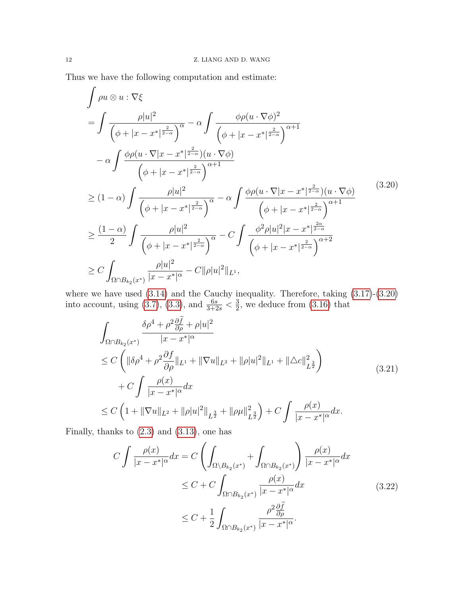Thus we have the following computation and estimate:

<span id="page-11-0"></span>
$$
\int \rho u \otimes u : \nabla \xi
$$
\n
$$
= \int \frac{\rho |u|^2}{\left(\phi + |x - x^*|^{\frac{2}{2-\alpha}}\right)^\alpha} - \alpha \int \frac{\phi \rho (u \cdot \nabla \phi)^2}{\left(\phi + |x - x^*|^{\frac{2}{2-\alpha}}\right)^{\alpha+1}} - \alpha \int \frac{\phi \rho (u \cdot \nabla |x - x^*|^{\frac{2}{2-\alpha}})(u \cdot \nabla \phi)}{\left(\phi + |x - x^*|^{\frac{2}{2-\alpha}}\right)^{\alpha+1}} \geq (1 - \alpha) \int \frac{\rho |u|^2}{\left(\phi + |x - x^*|^{\frac{2}{2-\alpha}}\right)^\alpha} - \alpha \int \frac{\phi \rho (u \cdot \nabla |x - x^*|^{\frac{2}{2-\alpha}})(u \cdot \nabla \phi)}{\left(\phi + |x - x^*|^{\frac{2}{2-\alpha}}\right)^{\alpha+1}} \geq \frac{(1 - \alpha)}{2} \int \frac{\rho |u|^2}{\left(\phi + |x - x^*|^{\frac{2}{2-\alpha}}\right)^\alpha} - C \int \frac{\phi^2 \rho |u|^2 |x - x^*|^{\frac{2\alpha}{2-\alpha}}}{\left(\phi + |x - x^*|^{\frac{2}{2-\alpha}}\right)^{\alpha+2}} \geq C \int_{\Omega \cap B_{k_2}(x^*)} \frac{\rho |u|^2}{|x - x^*|^{\alpha}} - C \|\rho |u|^2 \|\rho u\|^2 \|\rho u\|^2.
$$
\n(8.14)

where we have used  $(3.14)$  and the Cauchy inequality. Therefore, taking  $(3.17)-(3.20)$  $(3.17)-(3.20)$  $(3.17)-(3.20)$ into account, using [\(3.7\)](#page-8-1), [\(3.3\)](#page-7-4), and  $\frac{6s}{3+2s} < \frac{3}{2}$  $\frac{3}{2}$ , we deduce from  $(3.16)$  that

<span id="page-11-2"></span>
$$
\int_{\Omega \cap B_{k_2}(x^*)} \frac{\delta \rho^4 + \rho^2 \frac{\partial \tilde{f}}{\partial \rho} + \rho |u|^2}{|x - x^*|^{\alpha}} \n\leq C \left( \| \delta \rho^4 + \rho^2 \frac{\partial f}{\partial \rho} \|_{L^1} + \| \nabla u \|_{L^2} + \| \rho |u|^2 \|_{L^1} + \| \Delta c \|_{L^2}^2 \right) \n+ C \int \frac{\rho(x)}{|x - x^*|^{\alpha}} dx \n\leq C \left( 1 + \| \nabla u \|_{L^2} + \| \rho |u|^2 \|_{L^{\frac{3}{2}}} + \| \rho \mu \|_{L^{\frac{3}{2}}}^2 \right) + C \int \frac{\rho(x)}{|x - x^*|^{\alpha}} dx.
$$
\n(3.21)

Finally, thanks to [\(2.3\)](#page-4-6) and [\(3.13\)](#page-9-6), one has

<span id="page-11-1"></span>
$$
C \int \frac{\rho(x)}{|x - x^*|^{\alpha}} dx = C \left( \int_{\Omega \setminus B_{k_2}(x^*)} + \int_{\Omega \cap B_{k_2}(x^*)} \right) \frac{\rho(x)}{|x - x^*|^{\alpha}} dx
$$
  
\n
$$
\leq C + C \int_{\Omega \cap B_{k_2}(x^*)} \frac{\rho(x)}{|x - x^*|^{\alpha}} dx
$$
  
\n
$$
\leq C + \frac{1}{2} \int_{\Omega \cap B_{k_2}(x^*)} \frac{\rho^2 \frac{\partial \tilde{f}}{\partial \rho}}{|x - x^*|^{\alpha}}.
$$
\n(3.22)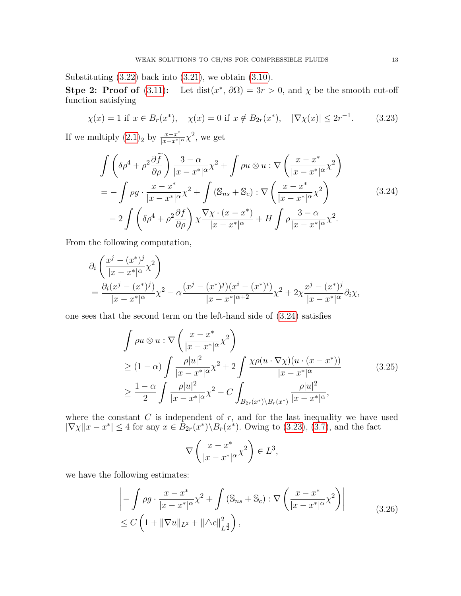Substituting  $(3.22)$  back into  $(3.21)$ , we obtain  $(3.10)$ .

Stpe 2: Proof of [\(3.11\)](#page-9-1): Let dist( $x^*$ ,  $\partial\Omega$ ) = 3r > 0, and  $\chi$  be the smooth cut-off function satisfying

<span id="page-12-1"></span>
$$
\chi(x) = 1
$$
 if  $x \in B_r(x^*)$ ,  $\chi(x) = 0$  if  $x \notin B_{2r}(x^*)$ ,  $|\nabla \chi(x)| \le 2r^{-1}$ . (3.23)

If we multiply  $(2.1)_2$  $(2.1)_2$  by  $\frac{x-x^*}{|x-x^*|}$  $\frac{x-x^*}{|x-x^*|^\alpha} \chi^2$ , we get

<span id="page-12-0"></span>
$$
\int \left( \delta \rho^4 + \rho^2 \frac{\partial \widetilde{f}}{\partial \rho} \right) \frac{3 - \alpha}{|x - x^*|} \chi^2 + \int \rho u \otimes u : \nabla \left( \frac{x - x^*}{|x - x^*|} \chi^2 \right)
$$
\n
$$
= - \int \rho g \cdot \frac{x - x^*}{|x - x^*|} \chi^2 + \int (\mathbb{S}_{ns} + \mathbb{S}_c) : \nabla \left( \frac{x - x^*}{|x - x^*|} \chi^2 \right)
$$
\n
$$
- 2 \int \left( \delta \rho^4 + \rho^2 \frac{\partial f}{\partial \rho} \right) \chi \frac{\nabla \chi \cdot (x - x^*)}{|x - x^*|} + \overline{H} \int \rho \frac{3 - \alpha}{|x - x^*|} \chi^2.
$$
\n(3.24)

From the following computation,

$$
\partial_i \left( \frac{x^j - (x^*)^j}{|x - x^*|^\alpha} \chi^2 \right) \n= \frac{\partial_i (x^j - (x^*)^j)}{|x - x^*|^\alpha} \chi^2 - \alpha \frac{(x^j - (x^*)^j)(x^i - (x^*)^i)}{|x - x^*|^\alpha} \chi^2 + 2\chi \frac{x^j - (x^*)^j}{|x - x^*|^\alpha} \partial_i \chi,
$$

one sees that the second term on the left-hand side of [\(3.24\)](#page-12-0) satisfies

<span id="page-12-2"></span>
$$
\int \rho u \otimes u : \nabla \left( \frac{x - x^*}{|x - x^*|^\alpha} \chi^2 \right)
$$
\n
$$
\geq (1 - \alpha) \int \frac{\rho |u|^2}{|x - x^*|^\alpha} \chi^2 + 2 \int \frac{\chi \rho(u \cdot \nabla \chi)(u \cdot (x - x^*))}{|x - x^*|^\alpha}
$$
\n
$$
\geq \frac{1 - \alpha}{2} \int \frac{\rho |u|^2}{|x - x^*|^\alpha} \chi^2 - C \int_{B_{2r}(x^*) \backslash B_r(x^*)} \frac{\rho |u|^2}{|x - x^*|^\alpha},
$$
\n(3.25)

where the constant  $C$  is independent of  $r$ , and for the last inequality we have used  $|\nabla \chi||x - x^*| \leq 4$  for any  $x \in \overline{B}_{2r}(x^*) \setminus B_r(x^*)$ . Owing to [\(3.23\)](#page-12-1), [\(3.7\)](#page-8-1), and the fact

$$
\nabla \left(\frac{x - x^*}{|x - x^*|^\alpha} \chi^2\right) \in L^3,
$$

we have the following estimates:

$$
\left| -\int \rho g \cdot \frac{x - x^*}{|x - x^*|^\alpha} \chi^2 + \int (\mathbb{S}_{ns} + \mathbb{S}_c) : \nabla \left( \frac{x - x^*}{|x - x^*|^\alpha} \chi^2 \right) \right|
$$
\n
$$
\leq C \left( 1 + \|\nabla u\|_{L^2} + \|\triangle c\|_{L^{\frac{3}{2}}}^2 \right),
$$
\n(3.26)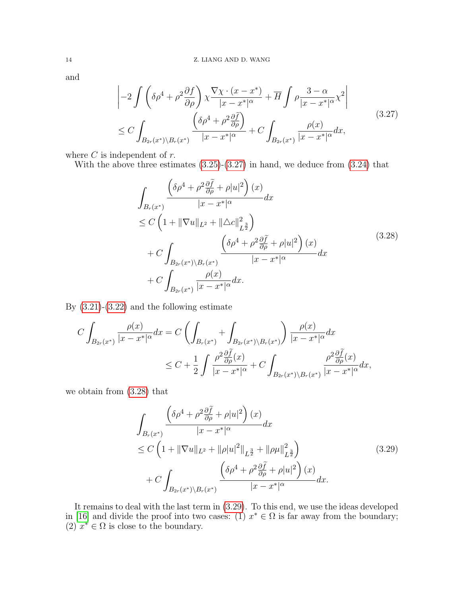and

<span id="page-13-0"></span>
$$
\begin{split}\n&\left|-2\int \left(\delta \rho^{4}+\rho^{2}\frac{\partial f}{\partial \rho}\right) \chi \frac{\nabla \chi \cdot (x-x^{*})}{|x-x^{*}|^{\alpha}} + \overline{H} \int \rho \frac{3-\alpha}{|x-x^{*}|^{\alpha}} \chi^{2}\right| \\
&\leq C \int_{B_{2r}(x^{*}) \backslash B_{r}(x^{*})} \frac{\left(\delta \rho^{4}+\rho^{2}\frac{\partial \widetilde{f}}{\partial \rho}\right)}{|x-x^{*}|^{\alpha}} + C \int_{B_{2r}(x^{*})} \frac{\rho(x)}{|x-x^{*}|^{\alpha}} dx,\n\end{split} \tag{3.27}
$$

where  $C$  is independent of  $r$ .

With the above three estimates  $(3.25)-(3.27)$  $(3.25)-(3.27)$  $(3.25)-(3.27)$  in hand, we deduce from  $(3.24)$  that

<span id="page-13-1"></span>
$$
\int_{B_r(x^*)} \frac{\left(\delta \rho^4 + \rho^2 \frac{\partial \tilde{f}}{\partial \rho} + \rho |u|^2\right)(x)}{|x - x^*|^{\alpha}} dx
$$
\n
$$
\leq C \left(1 + \|\nabla u\|_{L^2} + \|\triangle c\|_{L^{\frac{3}{2}}}^2\right)
$$
\n
$$
+ C \int_{B_{2r}(x^*) \setminus B_r(x^*)} \frac{\left(\delta \rho^4 + \rho^2 \frac{\partial \tilde{f}}{\partial \rho} + \rho |u|^2\right)(x)}{|x - x^*|^{\alpha}} dx
$$
\n
$$
+ C \int_{B_{2r}(x^*)} \frac{\rho(x)}{|x - x^*|^{\alpha}} dx.
$$
\n(3.28)

By  $(3.21)-(3.22)$  $(3.21)-(3.22)$  $(3.21)-(3.22)$  and the following estimate

$$
C \int_{B_{2r}(x^*)} \frac{\rho(x)}{|x - x^*|^{\alpha}} dx = C \left( \int_{B_r(x^*)} + \int_{B_{2r}(x^*) \backslash B_r(x^*)} \frac{\rho(x)}{|x - x^*|^{\alpha}} dx \right)
$$
  

$$
\leq C + \frac{1}{2} \int \frac{\rho^2 \frac{\partial \tilde{f}}{\partial \rho}(x)}{|x - x^*|^{\alpha}} + C \int_{B_{2r}(x^*) \backslash B_r(x^*)} \frac{\rho^2 \frac{\partial \tilde{f}}{\partial \rho}(x)}{|x - x^*|^{\alpha}} dx,
$$

we obtain from [\(3.28\)](#page-13-1) that

<span id="page-13-2"></span>
$$
\int_{B_r(x^*)} \frac{\left(\delta \rho^4 + \rho^2 \frac{\partial \tilde{f}}{\partial \rho} + \rho |u|^2\right)(x)}{|x - x^*|^{\alpha}} dx
$$
\n
$$
\leq C \left(1 + \|\nabla u\|_{L^2} + \|\rho |u|^2\|_{L^{\frac{3}{2}}} + \|\rho \mu\|_{L^{\frac{3}{2}}}^2\right)
$$
\n
$$
+ C \int_{B_{2r}(x^*) \setminus B_r(x^*)} \frac{\left(\delta \rho^4 + \rho^2 \frac{\partial \tilde{f}}{\partial \rho} + \rho |u|^2\right)(x)}{|x - x^*|^{\alpha}} dx.
$$
\n(3.29)

It remains to deal with the last term in [\(3.29\)](#page-13-2). To this end, we use the ideas developed in [\[16\]](#page-20-4) and divide the proof into two cases: (1)  $x^* \in \Omega$  is far away from the boundary;  $(2)$   $x^* \in \Omega$  is close to the boundary.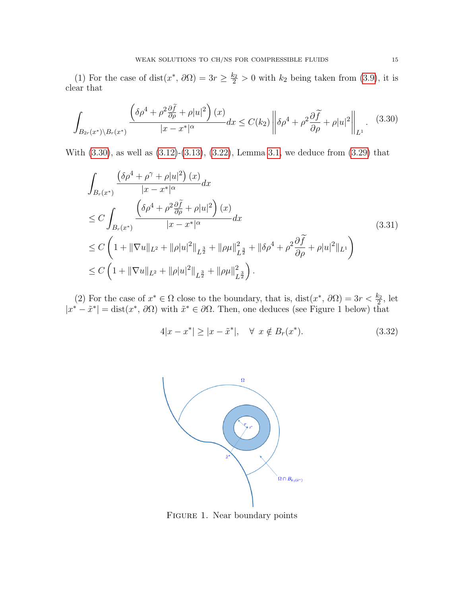(1) For the case of dist $(x^*, \partial\Omega) = 3r \ge \frac{k_2}{2} > 0$  with  $k_2$  being taken from [\(3.9\)](#page-8-2), it is clear that

<span id="page-14-0"></span>
$$
\int_{B_{2r}(x^*)\backslash B_r(x^*)} \frac{\left(\delta \rho^4 + \rho^2 \frac{\partial \tilde{f}}{\partial \rho} + \rho |u|^2\right)(x)}{|x - x^*|^{\alpha}} dx \le C(k_2) \left\|\delta \rho^4 + \rho^2 \frac{\partial \tilde{f}}{\partial \rho} + \rho |u|^2\right\|_{L^1}.
$$
 (3.30)

With [\(3.30\)](#page-14-0), as well as [\(3.12\)](#page-9-4)-[\(3.13\)](#page-9-6), [\(3.22\)](#page-11-1), Lemma [3.1,](#page-7-5) we deduce from [\(3.29\)](#page-13-2) that

<span id="page-14-2"></span>
$$
\int_{B_r(x^*)} \frac{(\delta \rho^4 + \rho^\gamma + \rho |u|^2) (x)}{|x - x^*|^{\alpha}} dx
$$
\n
$$
\leq C \int_{B_r(x^*)} \frac{\left(\delta \rho^4 + \rho^2 \frac{\partial \tilde{f}}{\partial \rho} + \rho |u|^2\right) (x)}{|x - x^*|^{\alpha}} dx
$$
\n
$$
\leq C \left(1 + \|\nabla u\|_{L^2} + \|\rho |u|^2\|_{L^{\frac{3}{2}}} + \|\rho \mu\|_{L^{\frac{3}{2}}}^2 + \|\delta \rho^4 + \rho^2 \frac{\partial \tilde{f}}{\partial \rho} + \rho |u|^2\|_{L^1}\right)
$$
\n
$$
\leq C \left(1 + \|\nabla u\|_{L^2} + \|\rho |u|^2\|_{L^{\frac{3}{2}}} + \|\rho \mu\|_{L^{\frac{3}{2}}}^2\right).
$$
\n(3.31)

(2) For the case of  $x^* \in \Omega$  close to the boundary, that is,  $dist(x^*, \partial \Omega) = 3r < \frac{k_2}{2}$ , let  $|x^* - \tilde{x}^*| = \text{dist}(x^*, \partial\Omega)$  with  $\tilde{x}^* \in \partial\Omega$ . Then, one deduces (see Figure 1 below) that

<span id="page-14-1"></span>
$$
4|x - x^*| \ge |x - \tilde{x}^*|, \quad \forall \ x \notin B_r(x^*). \tag{3.32}
$$



Figure 1. Near boundary points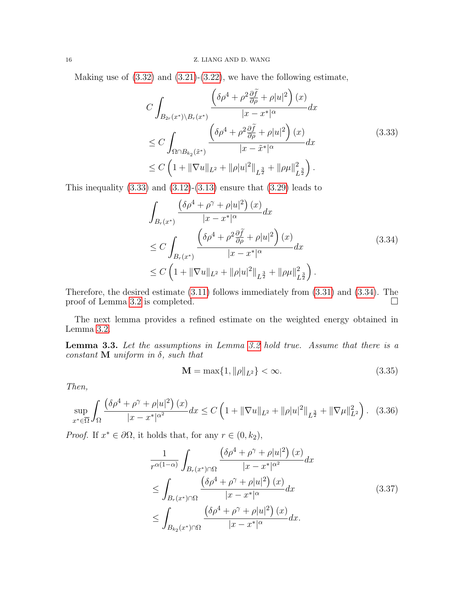Making use of  $(3.32)$  and  $(3.21)-(3.22)$  $(3.21)-(3.22)$  $(3.21)-(3.22)$ , we have the following estimate,

<span id="page-15-0"></span>
$$
C \int_{B_{2r}(x^*)\backslash B_r(x^*)} \frac{\left(\delta \rho^4 + \rho^2 \frac{\partial \tilde{f}}{\partial \rho} + \rho |u|^2\right)(x)}{|x - x^*|^{\alpha}} dx
$$
  
\n
$$
\leq C \int_{\Omega \cap B_{k_2}(\tilde{x}^*)} \frac{\left(\delta \rho^4 + \rho^2 \frac{\partial \tilde{f}}{\partial \rho} + \rho |u|^2\right)(x)}{|x - \tilde{x}^*|^{\alpha}} dx
$$
  
\n
$$
\leq C \left(1 + \|\nabla u\|_{L^2} + \|\rho |u|^2\|_{L^{\frac{3}{2}}} + \|\rho \mu\|_{L^{\frac{3}{2}}}^2\right).
$$
\n(3.33)

This inequality  $(3.33)$  and  $(3.12)-(3.13)$  $(3.12)-(3.13)$  $(3.12)-(3.13)$  ensure that  $(3.29)$  leads to

<span id="page-15-1"></span>
$$
\int_{B_r(x^*)} \frac{\left(\delta \rho^4 + \rho^\gamma + \rho |u|^2\right)(x)}{|x - x^*|^\alpha} dx
$$
\n
$$
\leq C \int_{B_r(x^*)} \frac{\left(\delta \rho^4 + \rho^2 \frac{\partial \tilde{f}}{\partial \rho} + \rho |u|^2\right)(x)}{|x - x^*|^\alpha} dx
$$
\n
$$
\leq C \left(1 + \|\nabla u\|_{L^2} + \|\rho |u|^2\|_{L^{\frac{3}{2}}} + \|\rho \mu\|_{L^{\frac{3}{2}}}^2\right).
$$
\n(3.34)

Therefore, the desired estimate [\(3.11\)](#page-9-1) follows immediately from [\(3.31\)](#page-14-2) and [\(3.34\)](#page-15-1). The proof of Lemma [3.2](#page-9-2) is completed.  $\Box$ 

The next lemma provides a refined estimate on the weighted energy obtained in Lemma [3.2.](#page-9-2)

<span id="page-15-4"></span>Lemma 3.3. Let the assumptions in Lemma [3.2](#page-9-2) hold true. Assume that there is a constant  $M$  uniform in  $\delta$ , such that

<span id="page-15-5"></span>
$$
\mathbf{M} = \max\{1, \|\rho\|_{L^2}\} < \infty. \tag{3.35}
$$

Then,

<span id="page-15-3"></span>
$$
\sup_{x^* \in \overline{\Omega}} \int_{\Omega} \frac{\left(\delta \rho^4 + \rho^\gamma + \rho |u|^2\right)(x)}{|x - x^*|^{\alpha^2}} dx \le C \left(1 + \|\nabla u\|_{L^2} + \|\rho |u|^2\|_{L^{\frac{3}{2}}} + \|\nabla \mu\|_{L^2}^2\right). \tag{3.36}
$$

*Proof.* If  $x^* \in \partial \Omega$ , it holds that, for any  $r \in (0, k_2)$ ,

<span id="page-15-2"></span>
$$
\frac{1}{r^{\alpha(1-\alpha)}} \int_{B_r(x^*)\cap\Omega} \frac{\left(\delta\rho^4 + \rho^\gamma + \rho |u|^2\right)(x)}{|x - x^*|^{\alpha^2}} dx
$$
\n
$$
\leq \int_{B_r(x^*)\cap\Omega} \frac{\left(\delta\rho^4 + \rho^\gamma + \rho |u|^2\right)(x)}{|x - x^*|^{\alpha}} dx
$$
\n
$$
\leq \int_{B_{k_2}(x^*)\cap\Omega} \frac{\left(\delta\rho^4 + \rho^\gamma + \rho |u|^2\right)(x)}{|x - x^*|^{\alpha}} dx.
$$
\n(3.37)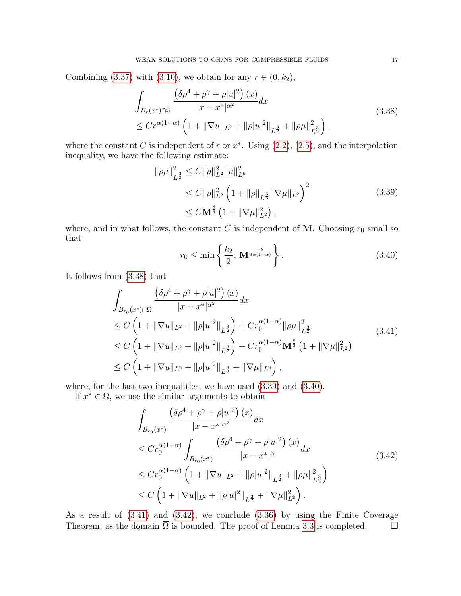Combining [\(3.37\)](#page-15-2) with [\(3.10\)](#page-9-0), we obtain for any  $r \in (0, k_2)$ ,

<span id="page-16-0"></span>
$$
\int_{B_r(x^*)\cap\Omega} \frac{\left(\delta\rho^4 + \rho^\gamma + \rho|u|^2\right)(x)}{|x - x^*|^{\alpha^2}} dx
$$
\n
$$
\leq Cr^{\alpha(1-\alpha)} \left(1 + \|\nabla u\|_{L^2} + \|\rho|u|^2\|_{L^{\frac{3}{2}}} + \|\rho\mu\|_{L^{\frac{3}{2}}}^2\right),
$$
\n(3.38)

where the constant C is independent of r or  $x^*$ . Using  $(2.2)$ ,  $(2.5)$ , and the interpolation inequality, we have the following estimate:

<span id="page-16-1"></span>
$$
\|\rho\mu\|_{L^{\frac{3}{2}}}^2 \le C \|\rho\|_{L^2}^2 \|\mu\|_{L^6}^2
$$
  
\n
$$
\le C \|\rho\|_{L^2}^2 \left(1 + \|\rho\|_{L^{\frac{6}{5}}} \|\nabla\mu\|_{L^2}\right)^2
$$
  
\n
$$
\le C \mathbf{M}^{\frac{8}{3}} \left(1 + \|\nabla\mu\|_{L^2}^2\right),
$$
\n(3.39)

where, and in what follows, the constant C is independent of M. Choosing  $r_0$  small so that

<span id="page-16-2"></span>
$$
r_0 \le \min\left\{\frac{k_2}{2}, \mathbf{M}^{\frac{-8}{3\alpha(1-\alpha)}}\right\}.
$$
\n(3.40)

It follows from [\(3.38\)](#page-16-0) that

<span id="page-16-3"></span>
$$
\int_{B_{r_0}(x^*)\cap\Omega} \frac{\left(\delta \rho^4 + \rho^\gamma + \rho |u|^2\right)(x)}{|x - x^*|^{\alpha^2}} dx
$$
\n
$$
\leq C \left(1 + \|\nabla u\|_{L^2} + \|\rho |u|^2\|_{L^{\frac{3}{2}}} \right) + C r_0^{\alpha(1-\alpha)} \|\rho \mu\|_{L^{\frac{3}{2}}}^2
$$
\n
$$
\leq C \left(1 + \|\nabla u\|_{L^2} + \|\rho |u|^2\|_{L^{\frac{3}{2}}} \right) + C r_0^{\alpha(1-\alpha)} \mathbf{M}^{\frac{8}{3}} \left(1 + \|\nabla \mu\|_{L^2}^2\right)
$$
\n
$$
\leq C \left(1 + \|\nabla u\|_{L^2} + \|\rho |u|^2\|_{L^{\frac{3}{2}}} + \|\nabla \mu\|_{L^2}\right),
$$
\n(3.41)

where, for the last two inequalities, we have used [\(3.39\)](#page-16-1) and [\(3.40\)](#page-16-2).

If  $x^* \in \Omega$ , we use the similar arguments to obtain

<span id="page-16-4"></span>
$$
\int_{B_{r_0}(x^*)} \frac{\left(\delta \rho^4 + \rho^\gamma + \rho |u|^2\right)(x)}{|x - x^*|^{\alpha^2}} dx
$$
\n
$$
\leq C r_0^{\alpha(1-\alpha)} \int_{B_{r_0}(x^*)} \frac{\left(\delta \rho^4 + \rho^\gamma + \rho |u|^2\right)(x)}{|x - x^*|^{\alpha}} dx
$$
\n
$$
\leq C r_0^{\alpha(1-\alpha)} \left(1 + \|\nabla u\|_{L^2} + \|\rho |u|^2\|_{L^{\frac{3}{2}}} + \|\rho \mu\|_{L^{\frac{3}{2}}}^2\right)
$$
\n
$$
\leq C \left(1 + \|\nabla u\|_{L^2} + \|\rho |u|^2\|_{L^{\frac{3}{2}}} + \|\nabla \mu\|_{L^2}^2\right).
$$
\n(3.42)

As a result of [\(3.41\)](#page-16-3) and [\(3.42\)](#page-16-4), we conclude [\(3.36\)](#page-15-3) by using the Finite Coverage Theorem, as the domain  $\overline{\Omega}$  is bounded. The proof of Lemma [3.3](#page-15-4) is completed.  $\Box$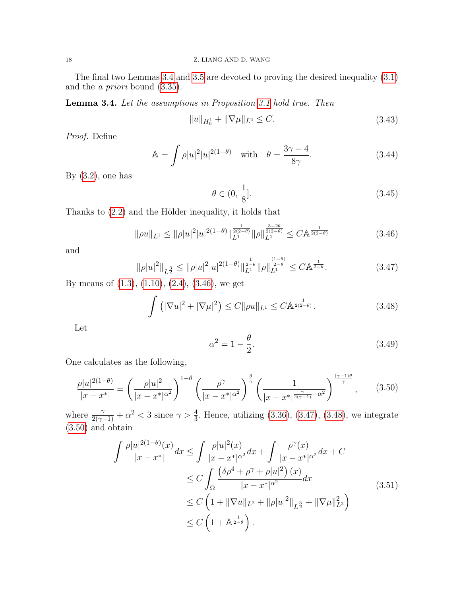The final two Lemmas [3.4](#page-17-0) and [3.5](#page-18-0) are devoted to proving the desired inequality [\(3.1\)](#page-6-0) and the a priori bound [\(3.35\)](#page-15-5).

<span id="page-17-0"></span>Lemma 3.4. Let the assumptions in Proposition [3.1](#page-7-0) hold true. Then

<span id="page-17-7"></span>
$$
||u||_{H_0^1} + ||\nabla \mu||_{L^2} \le C. \tag{3.43}
$$

Proof. Define

<span id="page-17-8"></span>
$$
\mathbb{A} = \int \rho |u|^2 |u|^{2(1-\theta)} \quad \text{with} \quad \theta = \frac{3\gamma - 4}{8\gamma}.
$$
 (3.44)

By  $(3.2)$ , one has

<span id="page-17-6"></span>
$$
\theta \in (0, \frac{1}{8}]. \tag{3.45}
$$

Thanks to  $(2.2)$  and the Hölder inequality, it holds that

<span id="page-17-1"></span>
$$
\|\rho u\|_{L^1} \le \|\rho |u|^2 |u|^{2(1-\theta)} \|\|_{L^1}^{\frac{1}{2(2-\theta)}} \|\rho\|_{L^1}^{\frac{3-2\theta}{2(2-\theta)}} \le C \mathbb{A}^{\frac{1}{2(2-\theta)}} \tag{3.46}
$$

and

<span id="page-17-2"></span>
$$
\|\rho |u|^2\|_{L^{\frac{3}{2}}} \le \|\rho |u|^2 |u|^{2(1-\theta)}\|_{L^1}^{\frac{1}{2-\theta}} \|\rho\|_{L^1}^{\frac{(1-\theta)}{2-\theta}} \le C\mathbb{A}^{\frac{1}{2-\theta}}. \tag{3.47}
$$

By means of [\(1.3\)](#page-1-4), [\(1.10\)](#page-2-2), [\(2.4\)](#page-4-7), [\(3.46\)](#page-17-1), we get

<span id="page-17-3"></span>
$$
\int \left( |\nabla u|^2 + |\nabla \mu|^2 \right) \le C \|\rho u\|_{L^1} \le C \mathbb{A}^{\frac{1}{2(2-\theta)}}. \tag{3.48}
$$

Let

<span id="page-17-9"></span>
$$
\alpha^2 = 1 - \frac{\theta}{2}.\tag{3.49}
$$

One calculates as the following,

<span id="page-17-4"></span>
$$
\frac{\rho |u|^{2(1-\theta)}}{|x-x^*|} = \left(\frac{\rho |u|^2}{|x-x^*|^{\alpha^2}}\right)^{1-\theta} \left(\frac{\rho^\gamma}{|x-x^*|^{\alpha^2}}\right)^{\frac{\theta}{\gamma}} \left(\frac{1}{|x-x^*|^{\frac{\gamma}{2(\gamma-1)}+\alpha^2}}\right)^{\frac{(\gamma-1)\theta}{\gamma}},\tag{3.50}
$$

where  $\frac{\gamma}{2(\gamma-1)} + \alpha^2 < 3$  since  $\gamma > \frac{4}{3}$ . Hence, utilizing [\(3.36\)](#page-15-3), [\(3.47\)](#page-17-2), [\(3.48\)](#page-17-3), we integrate [\(3.50\)](#page-17-4) and obtain

<span id="page-17-5"></span>
$$
\int \frac{\rho |u|^{2(1-\theta)}(x)}{|x - x^*|} dx \le \int \frac{\rho |u|^2(x)}{|x - x^*|^{\alpha^2}} dx + \int \frac{\rho^{\gamma}(x)}{|x - x^*|^{\alpha^2}} dx + C
$$
  
\n
$$
\le C \int_{\Omega} \frac{(\delta \rho^4 + \rho^{\gamma} + \rho |u|^2)(x)}{|x - x^*|^{\alpha^2}} dx
$$
  
\n
$$
\le C \left(1 + \|\nabla u\|_{L^2} + \|\rho |u|^2\|_{L^{\frac{3}{2}}} + \|\nabla \mu\|_{L^2}^2\right)
$$
  
\n
$$
\le C \left(1 + \mathbb{A}^{\frac{1}{2-\theta}}\right).
$$
\n(3.51)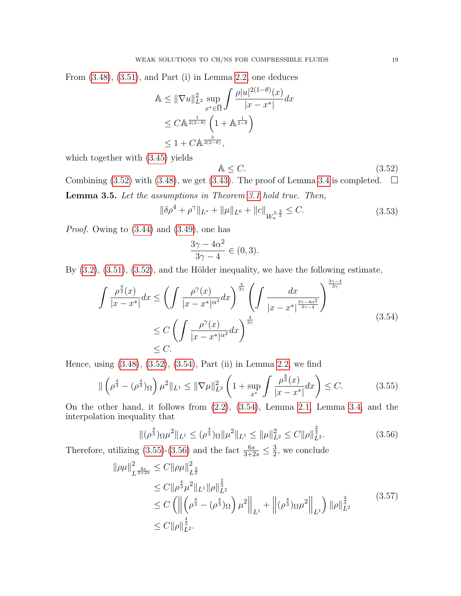From [\(3.48\)](#page-17-3), [\(3.51\)](#page-17-5), and Part (i) in Lemma [2.2,](#page-5-5) one deduces

$$
\mathbb{A} \leq \|\nabla u\|_{L^2}^2 \sup_{x^* \in \overline{\Omega}} \int \frac{\rho |u|^{2(1-\theta)}(x)}{|x - x^*|} dx
$$
  
\n
$$
\leq C \mathbb{A}^{\frac{1}{2(2-\theta)}} \left(1 + \mathbb{A}^{\frac{1}{2-\theta}}\right)
$$
  
\n
$$
\leq 1 + C \mathbb{A}^{\frac{3}{2(2-\theta)}},
$$

which together with [\(3.45\)](#page-17-6) yields

<span id="page-18-1"></span>
$$
\mathbb{A} \le C. \tag{3.52}
$$

!<sup>3</sup>γ−<sup>4</sup>

<span id="page-18-0"></span>Combining [\(3.52\)](#page-18-1) with [\(3.48\)](#page-17-3), we get [\(3.43\)](#page-17-7). The proof of Lemma [3.4](#page-17-0) is completed.  $\Box$ Lemma 3.5. Let the assumptions in Theorem [3.1](#page-7-0) hold true. Then,

<span id="page-18-6"></span>
$$
\|\delta \rho^4 + \rho^\gamma\|_{L^s} + \|\mu\|_{L^6} + \|c\|_{W_n^{2, \frac{3}{2}}} \le C. \tag{3.53}
$$

Proof. Owing to [\(3.44\)](#page-17-8) and [\(3.49\)](#page-17-9), one has

$$
\frac{3\gamma - 4\alpha^2}{3\gamma - 4} \in (0, 3).
$$

By  $(3.2)$ ,  $(3.51)$ ,  $(3.52)$ , and the Hölder inequality, we have the following estimate,

<span id="page-18-2"></span>
$$
\int \frac{\rho^{\frac{4}{3}}(x)}{|x - x^*|} dx \le \left( \int \frac{\rho^{\gamma}(x)}{|x - x^*|^{\alpha^2}} dx \right)^{\frac{4}{3\gamma}} \left( \int \frac{dx}{|x - x^*|^{\frac{3\gamma - 4\alpha^2}{3\gamma - 4}}} \right)^{\frac{\gamma - 4\alpha^2}{3\gamma}}
$$
\n
$$
\le C \left( \int \frac{\rho^{\gamma}(x)}{|x - x^*|^{\alpha^2}} dx \right)^{\frac{4}{3\gamma}}
$$
\n
$$
\le C.
$$
\n(3.54)

Hence, using [\(3.48\)](#page-17-3), [\(3.52\)](#page-18-1), [\(3.54\)](#page-18-2), Part (ii) in Lemma [2.2,](#page-5-5) we find

<span id="page-18-3"></span>
$$
\|\left(\rho^{\frac{4}{3}} - (\rho^{\frac{4}{3}})_{\Omega}\right) \mu^{2} \|_{L^{1}} \leq \|\nabla \mu\|_{L^{2}}^{2} \left(1 + \sup_{x^{*}} \int \frac{\rho^{\frac{4}{3}}(x)}{|x - x^{*}|} dx\right) \leq C.
$$
 (3.55)

On the other hand, it follows from [\(2.2\)](#page-4-3), [\(3.54\)](#page-18-2), Lemma [2.1,](#page-4-5) Lemma [3.4,](#page-17-0) and the interpolation inequality that

<span id="page-18-4"></span>
$$
\|(\rho^{\frac{4}{3}})\Omega\mu^{2}\|_{L^{1}} \leq (\rho^{\frac{4}{3}})\Omega\|\mu^{2}\|_{L^{1}} \leq \|\mu\|_{L^{2}}^{2} \leq C\|\rho\|_{L^{2}}^{\frac{2}{3}}.
$$
\n(3.56)

Therefore, utilizing [\(3.55\)](#page-18-3)-[\(3.56\)](#page-18-4) and the fact  $\frac{6s}{3+2s} \leq \frac{3}{2}$  $\frac{3}{2}$ , we conclude

<span id="page-18-5"></span>
$$
\|\rho\mu\|_{L^{\frac{6s}{3+2s}}}^2 \le C \|\rho\mu\|_{L^{\frac{3}{2}}}^2
$$
  
\n
$$
\le C \|\rho^{\frac{4}{3}}\mu^2\|_{L^1} \|\rho\|_{L^2}^{\frac{2}{3}}
$$
  
\n
$$
\le C \left( \left\| \left( \rho^{\frac{4}{3}} - (\rho^{\frac{4}{3}})_{\Omega} \right) \mu^2 \right\|_{L^1} + \left\| (\rho^{\frac{4}{3}})_{\Omega} \mu^2 \right\|_{L^1} \right) \|\rho\|_{L^2}^{\frac{2}{3}} \right)
$$
  
\n
$$
\le C \|\rho\|_{L^2}^{\frac{4}{3}}.
$$
\n(3.57)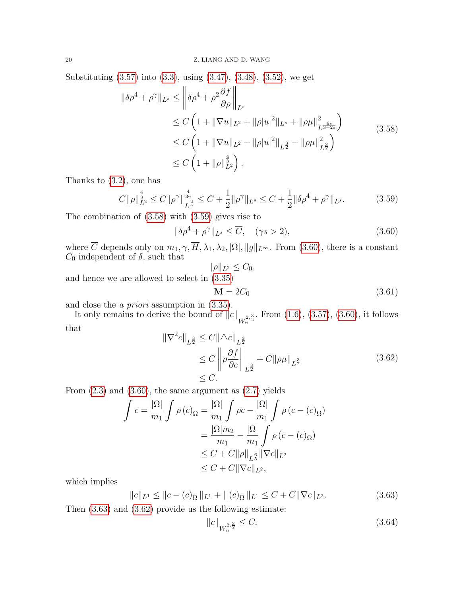Substituting [\(3.57\)](#page-18-5) into [\(3.3\)](#page-7-4), using [\(3.47\)](#page-17-2), [\(3.48\)](#page-17-3), [\(3.52\)](#page-18-1), we get

<span id="page-19-0"></span>
$$
\|\delta \rho^4 + \rho^\gamma\|_{L^s} \le \left\|\delta \rho^4 + \rho^2 \frac{\partial f}{\partial \rho}\right\|_{L^s}
$$
  
\n
$$
\le C \left(1 + \|\nabla u\|_{L^2} + \|\rho |u|^2\|_{L^s} + \|\rho \mu\|_{L^{\frac{6s}{3+2s}}}^2\right)
$$
  
\n
$$
\le C \left(1 + \|\nabla u\|_{L^2} + \|\rho |u|^2\|_{L^{\frac{3}{2}}} + \|\rho \mu\|_{L^{\frac{3}{2}}}^2\right)
$$
  
\n
$$
\le C \left(1 + \|\rho\|_{L^2}^{\frac{4}{3}}\right).
$$
\n(3.58)

Thanks to [\(3.2\)](#page-7-1), one has

<span id="page-19-1"></span>
$$
C\|\rho\|_{L^2}^{\frac{4}{3}} \le C\|\rho^{\gamma}\|_{L^{\frac{2}{\gamma}}}^{\frac{4}{3\gamma}} \le C + \frac{1}{2}\|\rho^{\gamma}\|_{L^s} \le C + \frac{1}{2}\|\delta\rho^4 + \rho^{\gamma}\|_{L^s}.
$$
 (3.59)

The combination of [\(3.58\)](#page-19-0) with [\(3.59\)](#page-19-1) gives rise to

<span id="page-19-2"></span>
$$
\|\delta \rho^4 + \rho^\gamma\|_{L^s} \le \overline{C}, \quad (\gamma s > 2), \tag{3.60}
$$

where C depends only on  $m_1, \gamma, H, \lambda_1, \lambda_2, |\Omega|, ||g||_{L^{\infty}}$ . From [\(3.60\)](#page-19-2), there is a constant  $C_0$  independent of  $\delta$ , such that

$$
\|\rho\|_{L^2}\leq C_0,
$$

and hence we are allowed to select in [\(3.35\)](#page-15-5)

$$
\mathbf{M} = 2C_0 \tag{3.61}
$$

and close the a priori assumption in [\(3.35\)](#page-15-5).

It only remains to derive the bound of  $||c||_{W_n^{2,\frac{3}{2}}}$ . From  $(1.6)$ ,  $(3.57)$ ,  $(3.60)$ , it follows that

<span id="page-19-4"></span>
$$
\|\nabla^2 c\|_{L^{\frac{3}{2}}} \le C \|\Delta c\|_{L^{\frac{3}{2}}} \n\le C \|\rho \frac{\partial f}{\partial c}\|_{L^{\frac{3}{2}}} + C \|\rho \mu\|_{L^{\frac{3}{2}}} \tag{3.62}\n\le C.
$$

From  $(2.3)$  and  $(3.60)$ , the same argument as  $(2.7)$  yields

$$
\int c = \frac{|\Omega|}{m_1} \int \rho(c)_\Omega = \frac{|\Omega|}{m_1} \int \rho c - \frac{|\Omega|}{m_1} \int \rho(c - (c)_\Omega)
$$

$$
= \frac{|\Omega|m_2}{m_1} - \frac{|\Omega|}{m_1} \int \rho(c - (c)_\Omega)
$$

$$
\leq C + C ||\rho||_{L^6} ||\nabla c||_{L^2}
$$

$$
\leq C + C ||\nabla c||_{L^2},
$$

which implies

<span id="page-19-3"></span>
$$
||c||_{L^{1}} \le ||c - (c)_{\Omega}||_{L^{1}} + ||(c)_{\Omega}||_{L^{1}} \le C + C||\nabla c||_{L^{2}}.
$$
\n(3.63)

Then [\(3.63\)](#page-19-3) and [\(3.62\)](#page-19-4) provide us the following estimate:

<span id="page-19-5"></span>
$$
||c||_{W_n^{2,\frac{3}{2}}} \le C. \tag{3.64}
$$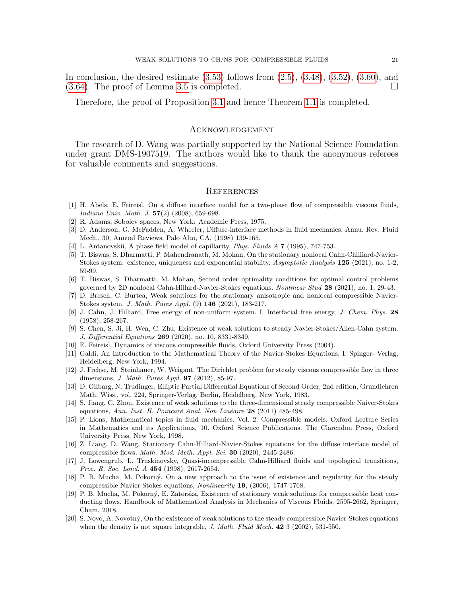In conclusion, the desired estimate  $(3.53)$  follows from  $(2.5)$ ,  $(3.48)$ ,  $(3.52)$ ,  $(3.60)$ , and [\(3.64\)](#page-19-5). The proof of Lemma [3.5](#page-18-0) is completed.

Therefore, the proof of Proposition [3.1](#page-7-0) and hence Theorem [1.1](#page-2-1) is completed.

### **ACKNOWLEDGEMENT**

The research of D. Wang was partially supported by the National Science Foundation under grant DMS-1907519. The authors would like to thank the anonymous referees for valuable comments and suggestions.

#### **REFERENCES**

- <span id="page-20-3"></span>[1] H. Abels, E. Feireisl, On a diffuse interface model for a two-phase flow of compressible viscous fluids, Indiana Univ. Math. J. 57(2) (2008), 659-698.
- <span id="page-20-14"></span>[2] R. Adams, Sobolev spaces, New York: Academic Press, 1975.
- <span id="page-20-0"></span>[3] D. Anderson, G. McFadden, A. Wheeler, Diffuse-interface methods in fluid mechanics, Annu. Rev. Fluid Mech., 30, Annual Reviews, Palo Alto, CA, (1998) 139-165.
- [4] L. Antanovskii, A phase field model of capillarity, Phys. Fluids A 7 (1995), 747-753.
- <span id="page-20-10"></span>[5] T. Biswas, S. Dharmatti, P. Mahendranath, M. Mohan, On the stationary nonlocal Cahn-Chilliard-Navier-Stokes system: existence, uniqueness and exponential stability. Asymptotic Analysis 125 (2021), no. 1-2, 59-99.
- [6] T. Biswas, S. Dharmatti, M. Mohan, Second order optimality conditions for optimal control problems governed by 2D nonlocal Cahn-Hillard-Navier-Stokes equations. Nonlinear Stud 28 (2021), no. 1, 29-43.
- <span id="page-20-9"></span>[7] D. Bresch, C. Burtea, Weak solutions for the stationary anisotropic and nonlocal compressible Navier-Stokes system. J. Math. Pures Appl. (9) 146 (2021), 183-217.
- <span id="page-20-1"></span>[8] J. Cahn, J. Hilliard, Free energy of non-uniform system. I. Interfacial free energy, J. Chem. Phys. 28 (1958), 258-267.
- <span id="page-20-11"></span>[9] S. Chen, S. Ji, H. Wen, C. Zhu, Existence of weak solutions to steady Navier-Stokes/Allen-Cahn system. J. Differential Equations 269 (2020), no. 10, 8331-8349.
- <span id="page-20-12"></span>[10] E. Feireisl, Dynamics of viscous compressible fluids, Oxford University Press (2004).
- <span id="page-20-15"></span>[11] Galdi, An Introduction to the Mathematical Theory of the Navier-Stokes Equations, I. Spinger- Verlag, Heidelberg, New-York, 1994.
- <span id="page-20-7"></span>[12] J. Frehse, M. Steinhauer, W. Weigant, The Dirichlet problem for steady viscous compressible flow in three dimensions, J. Math. Pures Appl. 97 (2012), 85-97.
- [13] D. Gilbarg, N. Trudinger, Elliptic Partial Differential Equations of Second Order, 2nd edition, Grundlehren Math. Wiss., vol. 224, Springer-Verlag, Berlin, Heidelberg, New York, 1983.
- <span id="page-20-8"></span>[14] S. Jiang, C. Zhou, Existence of weak solutions to the three-dimensional steady compressible Naiver-Stokes equations, Ann. Inst. H. Poincaré Anal. Non Linéaire  $28$  (2011) 485-498.
- <span id="page-20-5"></span>[15] P. Lions, Mathematical topics in fluid mechanics. Vol. 2. Compressible models. Oxford Lecture Series in Mathematics and its Applications, 10. Oxford Science Publications. The Clarendon Press, Oxford University Press, New York, 1998.
- <span id="page-20-4"></span>[16] Z. Liang, D. Wang, Stationary Cahn-Hilliard-Navier-Stokes equations for the diffuse interface model of compressible flows, *Math. Mod. Meth. Appl. Sci.* **30** (2020), 2445-2486.
- <span id="page-20-2"></span>[17] J. Lowengrub, L. Truskinovsky, Quasi-incompressible Cahn-Hilliard fluids and topological transitions, Proc. R. Soc. Lond. A 454 (1998), 2617-2654.
- <span id="page-20-13"></span>[18] P. B. Mucha, M. Pokorný, On a new approach to the issue of existence and regularity for the steady compressible Navier-Stokes equations, Nonlinearity 19, (2006), 1747-1768.
- <span id="page-20-16"></span>[19] P. B. Mucha, M. Pokorn´y, E. Zatorska, Existence of stationary weak solutions for compressible heat conducting flows. Handbook of Mathematical Analysis in Mechanics of Viscous Fluids, 2595-2662, Springer, Cham, 2018.
- <span id="page-20-6"></span>[20] S. Novo, A. Novotný, On the existence of weak solutions to the steady compressible Navier-Stokes equations when the density is not square integrable,  $J.$  Math. Fluid Mech. **42** 3 (2002), 531-550.